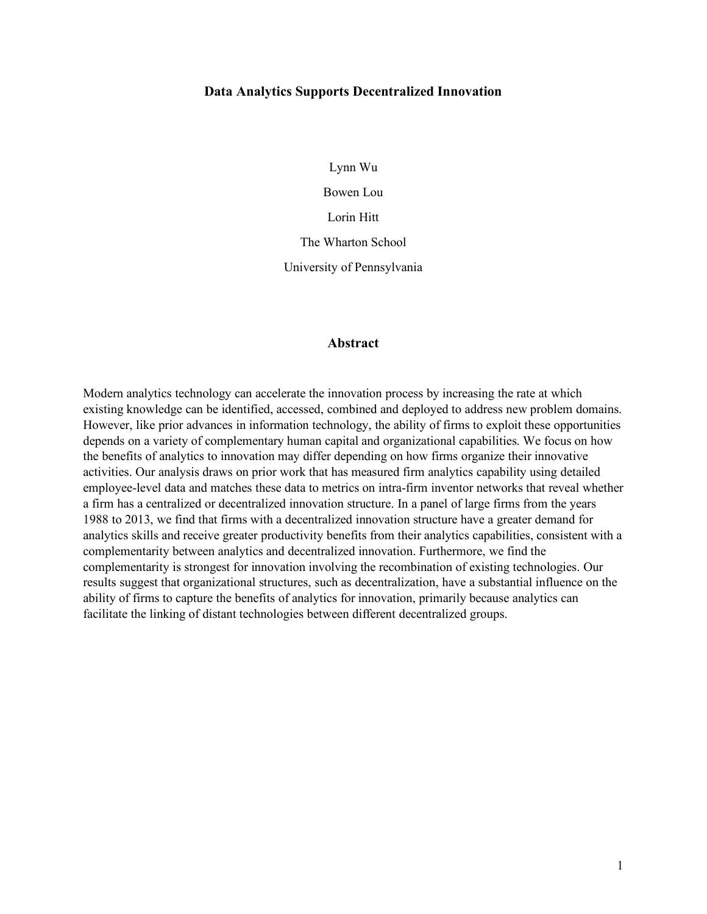# **Data Analytics Supports Decentralized Innovation**

Lynn Wu

Bowen Lou

Lorin Hitt

The Wharton School

University of Pennsylvania

# **Abstract**

Modern analytics technology can accelerate the innovation process by increasing the rate at which existing knowledge can be identified, accessed, combined and deployed to address new problem domains. However, like prior advances in information technology, the ability of firms to exploit these opportunities depends on a variety of complementary human capital and organizational capabilities. We focus on how the benefits of analytics to innovation may differ depending on how firms organize their innovative activities. Our analysis draws on prior work that has measured firm analytics capability using detailed employee-level data and matches these data to metrics on intra-firm inventor networks that reveal whether a firm has a centralized or decentralized innovation structure. In a panel of large firms from the years 1988 to 2013, we find that firms with a decentralized innovation structure have a greater demand for analytics skills and receive greater productivity benefits from their analytics capabilities, consistent with a complementarity between analytics and decentralized innovation. Furthermore, we find the complementarity is strongest for innovation involving the recombination of existing technologies. Our results suggest that organizational structures, such as decentralization, have a substantial influence on the ability of firms to capture the benefits of analytics for innovation, primarily because analytics can facilitate the linking of distant technologies between different decentralized groups.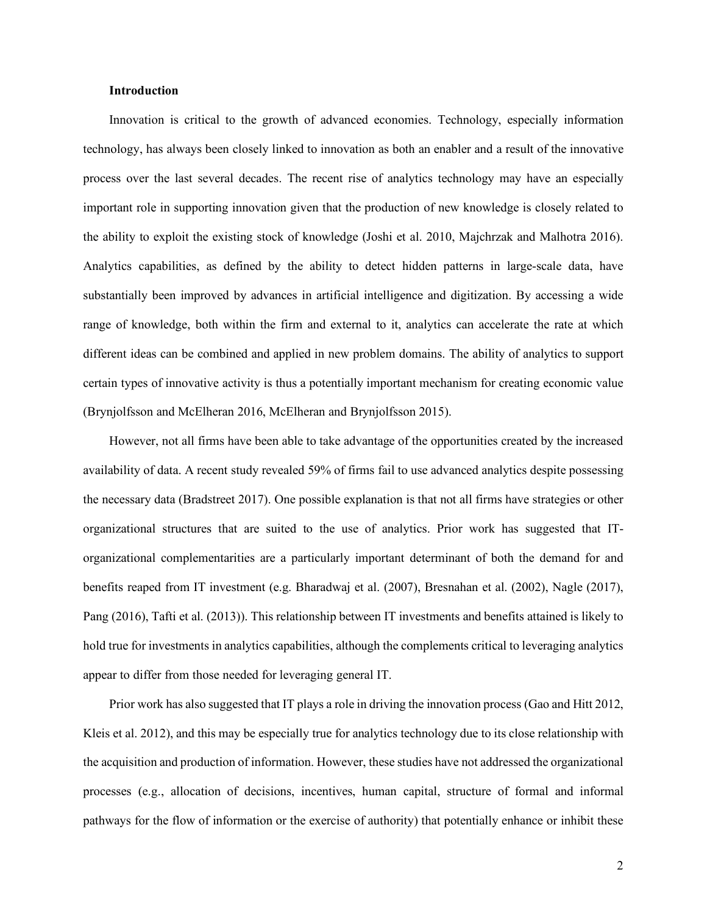#### **Introduction**

Innovation is critical to the growth of advanced economies. Technology, especially information technology, has always been closely linked to innovation as both an enabler and a result of the innovative process over the last several decades. The recent rise of analytics technology may have an especially important role in supporting innovation given that the production of new knowledge is closely related to the ability to exploit the existing stock of knowledge (Joshi et al. 2010, Majchrzak and Malhotra 2016). Analytics capabilities, as defined by the ability to detect hidden patterns in large-scale data, have substantially been improved by advances in artificial intelligence and digitization. By accessing a wide range of knowledge, both within the firm and external to it, analytics can accelerate the rate at which different ideas can be combined and applied in new problem domains. The ability of analytics to support certain types of innovative activity is thus a potentially important mechanism for creating economic value (Brynjolfsson and McElheran 2016, McElheran and Brynjolfsson 2015).

However, not all firms have been able to take advantage of the opportunities created by the increased availability of data. A recent study revealed 59% of firms fail to use advanced analytics despite possessing the necessary data (Bradstreet 2017). One possible explanation is that not all firms have strategies or other organizational structures that are suited to the use of analytics. Prior work has suggested that ITorganizational complementarities are a particularly important determinant of both the demand for and benefits reaped from IT investment (e.g. Bharadwaj et al. (2007), Bresnahan et al. (2002), Nagle (2017), Pang (2016), Tafti et al. (2013)). This relationship between IT investments and benefits attained is likely to hold true for investments in analytics capabilities, although the complements critical to leveraging analytics appear to differ from those needed for leveraging general IT.

Prior work has also suggested that IT plays a role in driving the innovation process (Gao and Hitt 2012, Kleis et al. 2012), and this may be especially true for analytics technology due to its close relationship with the acquisition and production of information. However, these studies have not addressed the organizational processes (e.g., allocation of decisions, incentives, human capital, structure of formal and informal pathways for the flow of information or the exercise of authority) that potentially enhance or inhibit these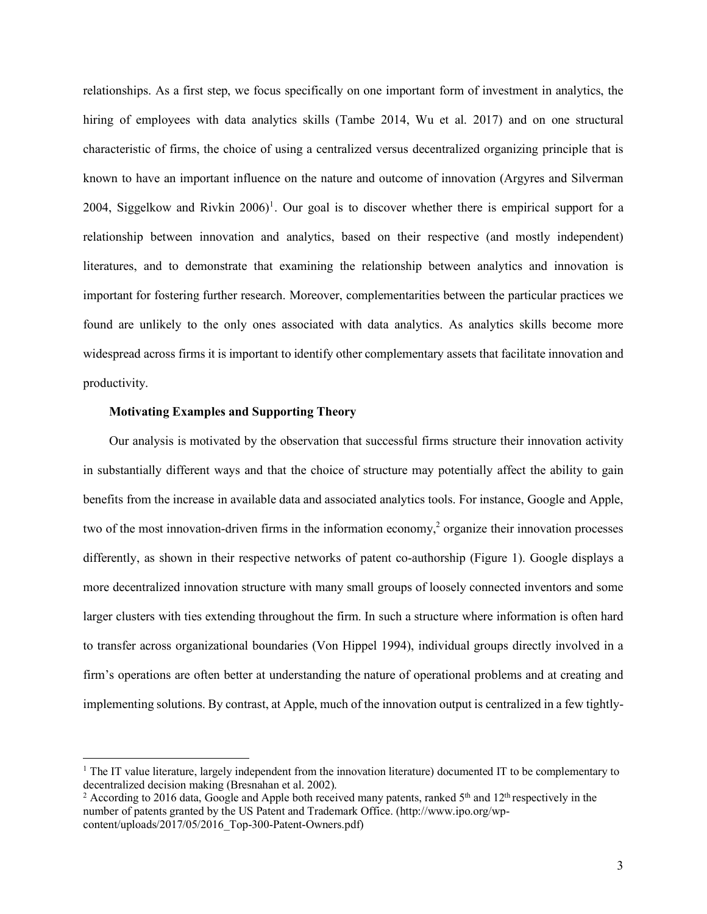relationships. As a first step, we focus specifically on one important form of investment in analytics, the hiring of employees with data analytics skills (Tambe 2014, Wu et al. 2017) and on one structural characteristic of firms, the choice of using a centralized versus decentralized organizing principle that is known to have an important influence on the nature and outcome of innovation (Argyres and Silverman 2004, Siggelkow and Rivkin  $2006$ <sup>1</sup>. Our goal is to discover whether there is empirical support for a relationship between innovation and analytics, based on their respective (and mostly independent) literatures, and to demonstrate that examining the relationship between analytics and innovation is important for fostering further research. Moreover, complementarities between the particular practices we found are unlikely to the only ones associated with data analytics. As analytics skills become more widespread across firms it is important to identify other complementary assets that facilitate innovation and productivity.

# **Motivating Examples and Supporting Theory**

l

Our analysis is motivated by the observation that successful firms structure their innovation activity in substantially different ways and that the choice of structure may potentially affect the ability to gain benefits from the increase in available data and associated analytics tools. For instance, Google and Apple, two of the most innovation-driven firms in the information economy, <sup>2</sup> organize their innovation processes differently, as shown in their respective networks of patent co-authorship (Figure 1). Google displays a more decentralized innovation structure with many small groups of loosely connected inventors and some larger clusters with ties extending throughout the firm. In such a structure where information is often hard to transfer across organizational boundaries (Von Hippel 1994), individual groups directly involved in a firm's operations are often better at understanding the nature of operational problems and at creating and implementing solutions. By contrast, at Apple, much of the innovation output is centralized in a few tightly-

<sup>1</sup> The IT value literature, largely independent from the innovation literature) documented IT to be complementary to decentralized decision making (Bresnahan et al. 2002).

<sup>&</sup>lt;sup>2</sup> According to 2016 data, Google and Apple both received many patents, ranked  $5<sup>th</sup>$  and  $12<sup>th</sup>$  respectively in the number of patents granted by the US Patent and Trademark Office. (http://www.ipo.org/wpcontent/uploads/2017/05/2016\_Top-300-Patent-Owners.pdf)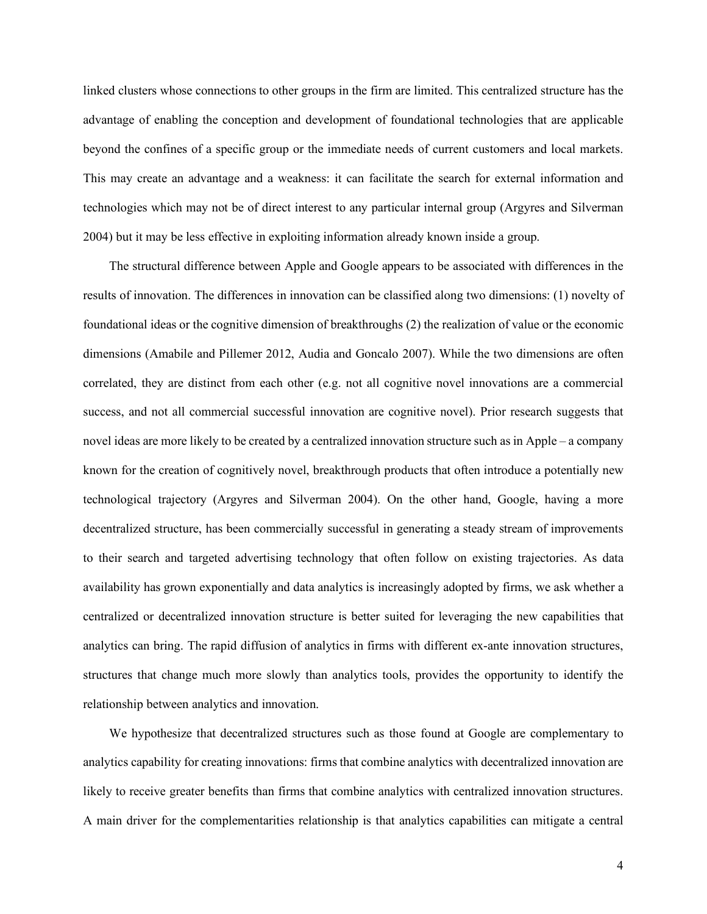linked clusters whose connections to other groups in the firm are limited. This centralized structure has the advantage of enabling the conception and development of foundational technologies that are applicable beyond the confines of a specific group or the immediate needs of current customers and local markets. This may create an advantage and a weakness: it can facilitate the search for external information and technologies which may not be of direct interest to any particular internal group (Argyres and Silverman 2004) but it may be less effective in exploiting information already known inside a group.

The structural difference between Apple and Google appears to be associated with differences in the results of innovation. The differences in innovation can be classified along two dimensions: (1) novelty of foundational ideas or the cognitive dimension of breakthroughs (2) the realization of value or the economic dimensions (Amabile and Pillemer 2012, Audia and Goncalo 2007). While the two dimensions are often correlated, they are distinct from each other (e.g. not all cognitive novel innovations are a commercial success, and not all commercial successful innovation are cognitive novel). Prior research suggests that novel ideas are more likely to be created by a centralized innovation structure such as in Apple – a company known for the creation of cognitively novel, breakthrough products that often introduce a potentially new technological trajectory (Argyres and Silverman 2004). On the other hand, Google, having a more decentralized structure, has been commercially successful in generating a steady stream of improvements to their search and targeted advertising technology that often follow on existing trajectories. As data availability has grown exponentially and data analytics is increasingly adopted by firms, we ask whether a centralized or decentralized innovation structure is better suited for leveraging the new capabilities that analytics can bring. The rapid diffusion of analytics in firms with different ex-ante innovation structures, structures that change much more slowly than analytics tools, provides the opportunity to identify the relationship between analytics and innovation.

We hypothesize that decentralized structures such as those found at Google are complementary to analytics capability for creating innovations: firms that combine analytics with decentralized innovation are likely to receive greater benefits than firms that combine analytics with centralized innovation structures. A main driver for the complementarities relationship is that analytics capabilities can mitigate a central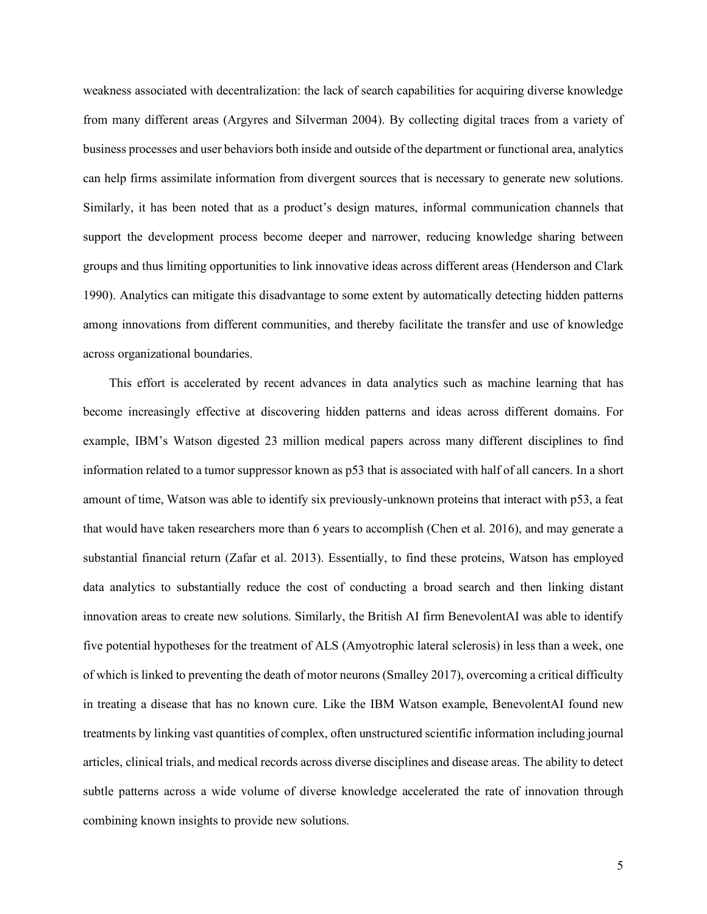weakness associated with decentralization: the lack of search capabilities for acquiring diverse knowledge from many different areas (Argyres and Silverman 2004). By collecting digital traces from a variety of business processes and user behaviors both inside and outside of the department or functional area, analytics can help firms assimilate information from divergent sources that is necessary to generate new solutions. Similarly, it has been noted that as a product's design matures, informal communication channels that support the development process become deeper and narrower, reducing knowledge sharing between groups and thus limiting opportunities to link innovative ideas across different areas (Henderson and Clark 1990). Analytics can mitigate this disadvantage to some extent by automatically detecting hidden patterns among innovations from different communities, and thereby facilitate the transfer and use of knowledge across organizational boundaries.

This effort is accelerated by recent advances in data analytics such as machine learning that has become increasingly effective at discovering hidden patterns and ideas across different domains. For example, IBM's Watson digested 23 million medical papers across many different disciplines to find information related to a tumor suppressor known as p53 that is associated with half of all cancers. In a short amount of time, Watson was able to identify six previously-unknown proteins that interact with p53, a feat that would have taken researchers more than 6 years to accomplish (Chen et al. 2016), and may generate a substantial financial return (Zafar et al. 2013). Essentially, to find these proteins, Watson has employed data analytics to substantially reduce the cost of conducting a broad search and then linking distant innovation areas to create new solutions. Similarly, the British AI firm BenevolentAI was able to identify five potential hypotheses for the treatment of ALS (Amyotrophic lateral sclerosis) in less than a week, one of which is linked to preventing the death of motor neurons (Smalley 2017), overcoming a critical difficulty in treating a disease that has no known cure. Like the IBM Watson example, BenevolentAI found new treatments by linking vast quantities of complex, often unstructured scientific information including journal articles, clinical trials, and medical records across diverse disciplines and disease areas. The ability to detect subtle patterns across a wide volume of diverse knowledge accelerated the rate of innovation through combining known insights to provide new solutions.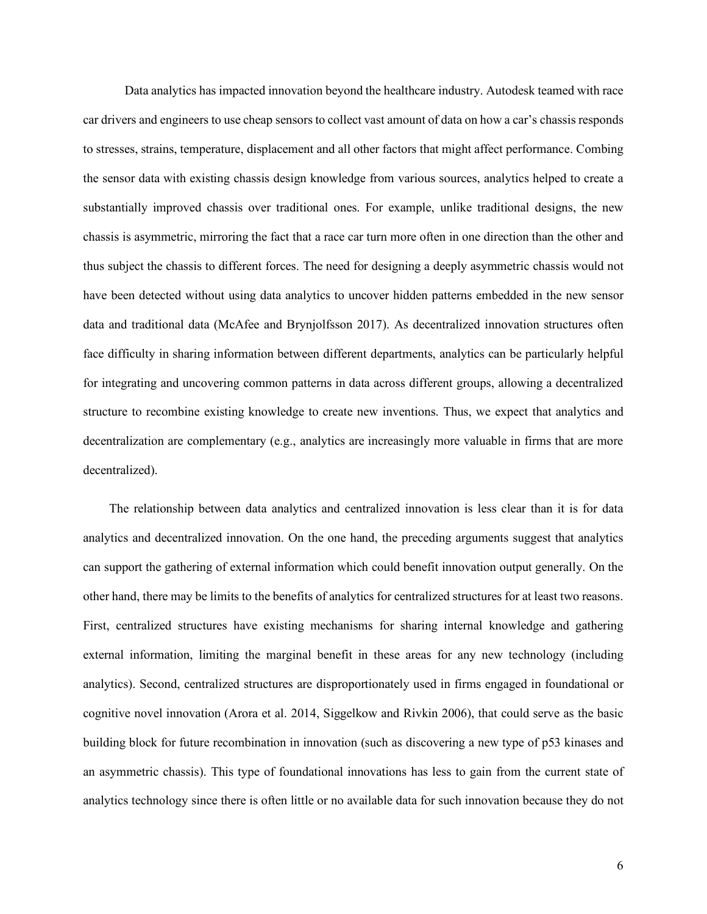Data analytics has impacted innovation beyond the healthcare industry. Autodesk teamed with race car drivers and engineers to use cheap sensors to collect vast amount of data on how a car's chassis responds to stresses, strains, temperature, displacement and all other factors that might affect performance. Combing the sensor data with existing chassis design knowledge from various sources, analytics helped to create a substantially improved chassis over traditional ones. For example, unlike traditional designs, the new chassis is asymmetric, mirroring the fact that a race car turn more often in one direction than the other and thus subject the chassis to different forces. The need for designing a deeply asymmetric chassis would not have been detected without using data analytics to uncover hidden patterns embedded in the new sensor data and traditional data (McAfee and Brynjolfsson 2017). As decentralized innovation structures often face difficulty in sharing information between different departments, analytics can be particularly helpful for integrating and uncovering common patterns in data across different groups, allowing a decentralized structure to recombine existing knowledge to create new inventions. Thus, we expect that analytics and decentralization are complementary (e.g., analytics are increasingly more valuable in firms that are more decentralized).

The relationship between data analytics and centralized innovation is less clear than it is for data analytics and decentralized innovation. On the one hand, the preceding arguments suggest that analytics can support the gathering of external information which could benefit innovation output generally. On the other hand, there may be limits to the benefits of analytics for centralized structures for at least two reasons. First, centralized structures have existing mechanisms for sharing internal knowledge and gathering external information, limiting the marginal benefit in these areas for any new technology (including analytics). Second, centralized structures are disproportionately used in firms engaged in foundational or cognitive novel innovation (Arora et al. 2014, Siggelkow and Rivkin 2006), that could serve as the basic building block for future recombination in innovation (such as discovering a new type of p53 kinases and an asymmetric chassis). This type of foundational innovations has less to gain from the current state of analytics technology since there is often little or no available data for such innovation because they do not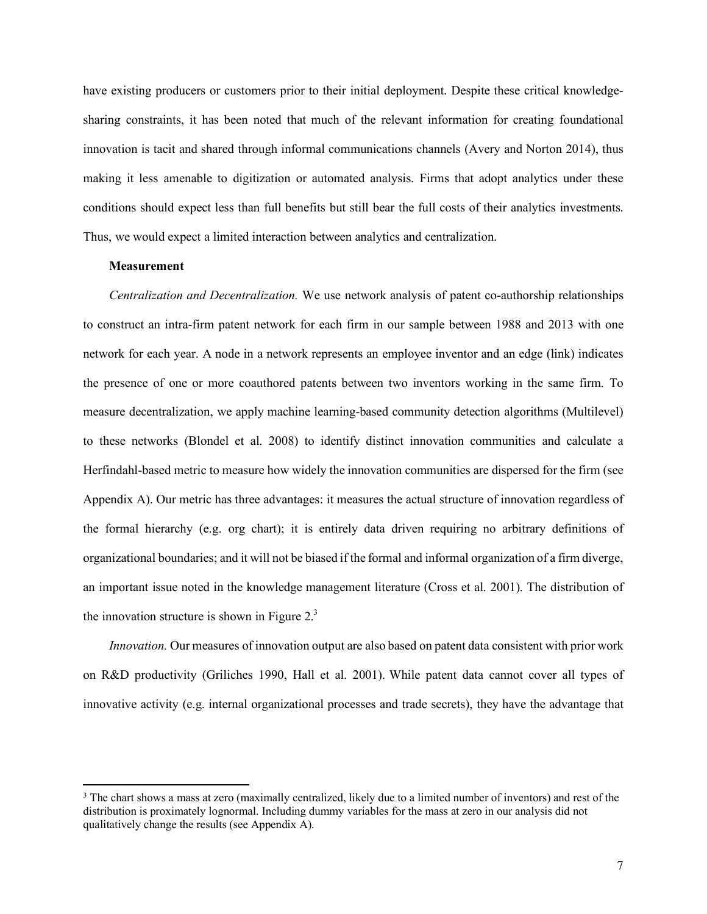have existing producers or customers prior to their initial deployment. Despite these critical knowledgesharing constraints, it has been noted that much of the relevant information for creating foundational innovation is tacit and shared through informal communications channels (Avery and Norton 2014), thus making it less amenable to digitization or automated analysis. Firms that adopt analytics under these conditions should expect less than full benefits but still bear the full costs of their analytics investments. Thus, we would expect a limited interaction between analytics and centralization.

## **Measurement**

 $\overline{\phantom{a}}$ 

*Centralization and Decentralization.* We use network analysis of patent co-authorship relationships to construct an intra-firm patent network for each firm in our sample between 1988 and 2013 with one network for each year. A node in a network represents an employee inventor and an edge (link) indicates the presence of one or more coauthored patents between two inventors working in the same firm. To measure decentralization, we apply machine learning-based community detection algorithms (Multilevel) to these networks (Blondel et al. 2008) to identify distinct innovation communities and calculate a Herfindahl-based metric to measure how widely the innovation communities are dispersed for the firm (see Appendix A). Our metric has three advantages: it measures the actual structure of innovation regardless of the formal hierarchy (e.g. org chart); it is entirely data driven requiring no arbitrary definitions of organizational boundaries; and it will not be biased if the formal and informal organization of a firm diverge, an important issue noted in the knowledge management literature (Cross et al. 2001). The distribution of the innovation structure is shown in Figure  $2<sup>3</sup>$ .

*Innovation.* Our measures of innovation output are also based on patent data consistent with prior work on R&D productivity (Griliches 1990, Hall et al. 2001). While patent data cannot cover all types of innovative activity (e.g. internal organizational processes and trade secrets), they have the advantage that

<sup>&</sup>lt;sup>3</sup> The chart shows a mass at zero (maximally centralized, likely due to a limited number of inventors) and rest of the distribution is proximately lognormal. Including dummy variables for the mass at zero in our analysis did not qualitatively change the results (see Appendix A).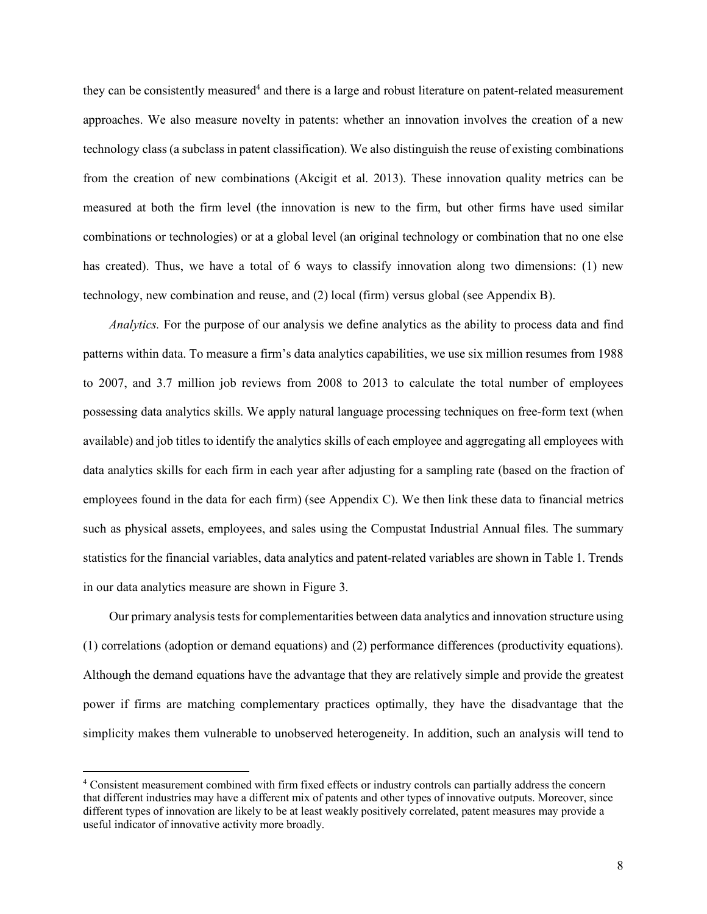they can be consistently measured<sup>4</sup> and there is a large and robust literature on patent-related measurement approaches. We also measure novelty in patents: whether an innovation involves the creation of a new technology class (a subclass in patent classification). We also distinguish the reuse of existing combinations from the creation of new combinations (Akcigit et al. 2013). These innovation quality metrics can be measured at both the firm level (the innovation is new to the firm, but other firms have used similar combinations or technologies) or at a global level (an original technology or combination that no one else has created). Thus, we have a total of 6 ways to classify innovation along two dimensions: (1) new technology, new combination and reuse, and (2) local (firm) versus global (see Appendix B).

*Analytics.* For the purpose of our analysis we define analytics as the ability to process data and find patterns within data. To measure a firm's data analytics capabilities, we use six million resumes from 1988 to 2007, and 3.7 million job reviews from 2008 to 2013 to calculate the total number of employees possessing data analytics skills. We apply natural language processing techniques on free-form text (when available) and job titles to identify the analytics skills of each employee and aggregating all employees with data analytics skills for each firm in each year after adjusting for a sampling rate (based on the fraction of employees found in the data for each firm) (see Appendix C). We then link these data to financial metrics such as physical assets, employees, and sales using the Compustat Industrial Annual files. The summary statistics for the financial variables, data analytics and patent-related variables are shown in Table 1. Trends in our data analytics measure are shown in Figure 3.

Our primary analysis tests for complementarities between data analytics and innovation structure using (1) correlations (adoption or demand equations) and (2) performance differences (productivity equations). Although the demand equations have the advantage that they are relatively simple and provide the greatest power if firms are matching complementary practices optimally, they have the disadvantage that the simplicity makes them vulnerable to unobserved heterogeneity. In addition, such an analysis will tend to

 $\overline{a}$ 

<sup>4</sup> Consistent measurement combined with firm fixed effects or industry controls can partially address the concern that different industries may have a different mix of patents and other types of innovative outputs. Moreover, since different types of innovation are likely to be at least weakly positively correlated, patent measures may provide a useful indicator of innovative activity more broadly.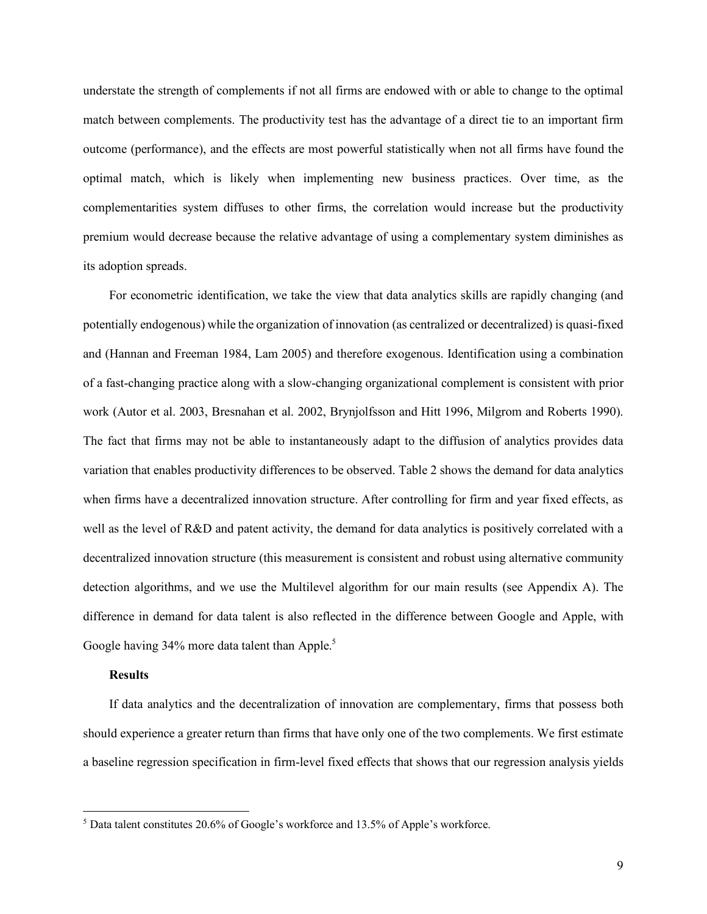understate the strength of complements if not all firms are endowed with or able to change to the optimal match between complements. The productivity test has the advantage of a direct tie to an important firm outcome (performance), and the effects are most powerful statistically when not all firms have found the optimal match, which is likely when implementing new business practices. Over time, as the complementarities system diffuses to other firms, the correlation would increase but the productivity premium would decrease because the relative advantage of using a complementary system diminishes as its adoption spreads.

For econometric identification, we take the view that data analytics skills are rapidly changing (and potentially endogenous) while the organization of innovation (as centralized or decentralized) is quasi-fixed and (Hannan and Freeman 1984, Lam 2005) and therefore exogenous. Identification using a combination of a fast-changing practice along with a slow-changing organizational complement is consistent with prior work (Autor et al. 2003, Bresnahan et al. 2002, Brynjolfsson and Hitt 1996, Milgrom and Roberts 1990). The fact that firms may not be able to instantaneously adapt to the diffusion of analytics provides data variation that enables productivity differences to be observed. Table 2 shows the demand for data analytics when firms have a decentralized innovation structure. After controlling for firm and year fixed effects, as well as the level of R&D and patent activity, the demand for data analytics is positively correlated with a decentralized innovation structure (this measurement is consistent and robust using alternative community detection algorithms, and we use the Multilevel algorithm for our main results (see Appendix A). The difference in demand for data talent is also reflected in the difference between Google and Apple, with Google having 34% more data talent than Apple.<sup>5</sup>

### **Results**

l

If data analytics and the decentralization of innovation are complementary, firms that possess both should experience a greater return than firms that have only one of the two complements. We first estimate a baseline regression specification in firm-level fixed effects that shows that our regression analysis yields

<sup>5</sup> Data talent constitutes 20.6% of Google's workforce and 13.5% of Apple's workforce.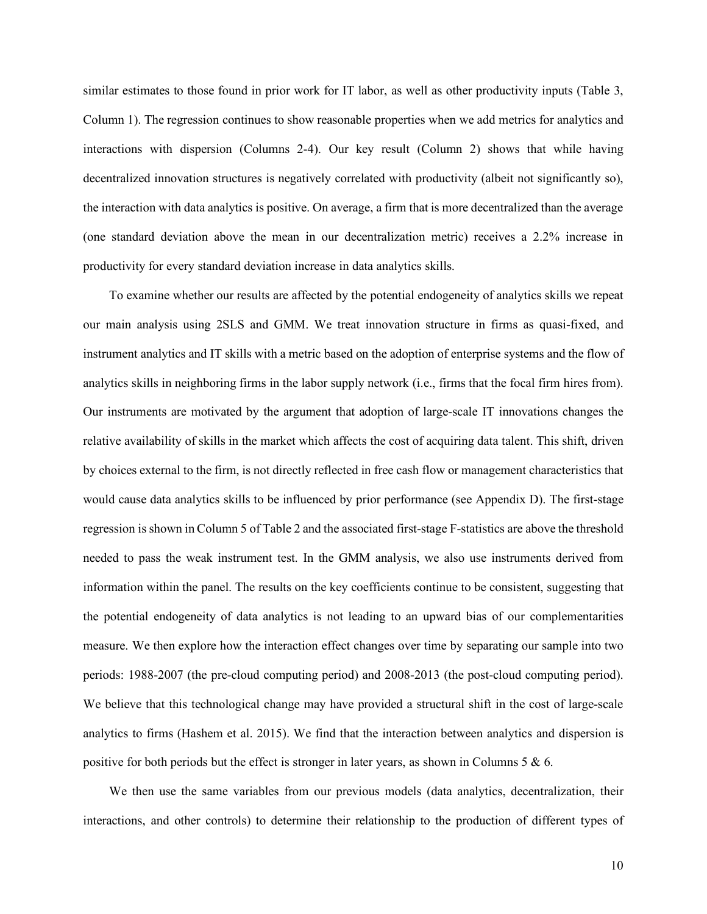similar estimates to those found in prior work for IT labor, as well as other productivity inputs (Table 3, Column 1). The regression continues to show reasonable properties when we add metrics for analytics and interactions with dispersion (Columns 2-4). Our key result (Column 2) shows that while having decentralized innovation structures is negatively correlated with productivity (albeit not significantly so), the interaction with data analytics is positive. On average, a firm that is more decentralized than the average (one standard deviation above the mean in our decentralization metric) receives a 2.2% increase in productivity for every standard deviation increase in data analytics skills.

To examine whether our results are affected by the potential endogeneity of analytics skills we repeat our main analysis using 2SLS and GMM. We treat innovation structure in firms as quasi-fixed, and instrument analytics and IT skills with a metric based on the adoption of enterprise systems and the flow of analytics skills in neighboring firms in the labor supply network (i.e., firms that the focal firm hires from). Our instruments are motivated by the argument that adoption of large-scale IT innovations changes the relative availability of skills in the market which affects the cost of acquiring data talent. This shift, driven by choices external to the firm, is not directly reflected in free cash flow or management characteristics that would cause data analytics skills to be influenced by prior performance (see Appendix D). The first-stage regression is shown in Column 5 of Table 2 and the associated first-stage F-statistics are above the threshold needed to pass the weak instrument test. In the GMM analysis, we also use instruments derived from information within the panel. The results on the key coefficients continue to be consistent, suggesting that the potential endogeneity of data analytics is not leading to an upward bias of our complementarities measure. We then explore how the interaction effect changes over time by separating our sample into two periods: 1988-2007 (the pre-cloud computing period) and 2008-2013 (the post-cloud computing period). We believe that this technological change may have provided a structural shift in the cost of large-scale analytics to firms (Hashem et al. 2015). We find that the interaction between analytics and dispersion is positive for both periods but the effect is stronger in later years, as shown in Columns 5  $\&$  6.

We then use the same variables from our previous models (data analytics, decentralization, their interactions, and other controls) to determine their relationship to the production of different types of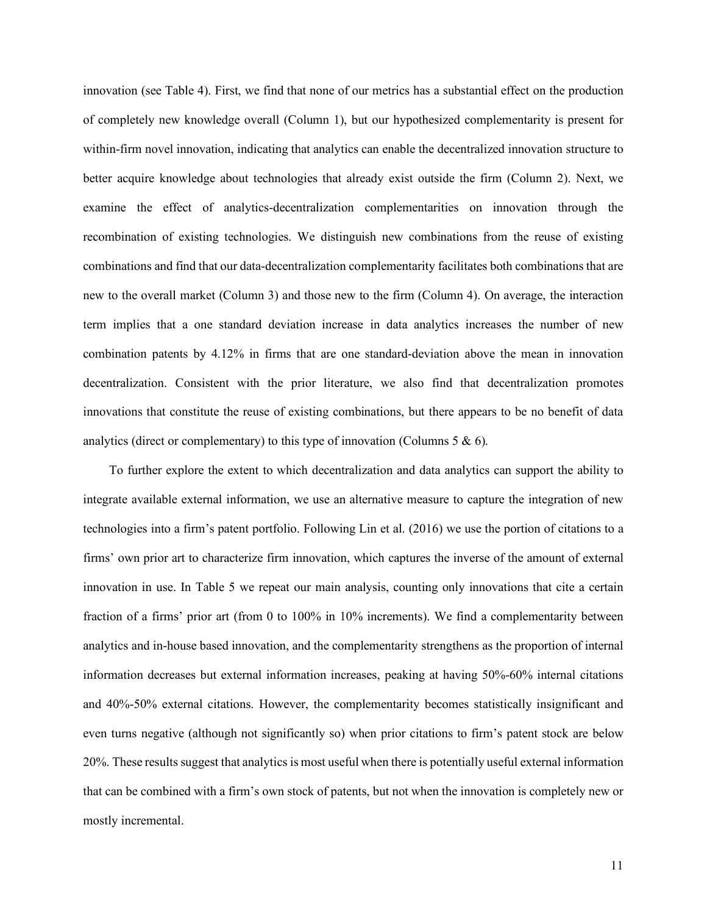innovation (see Table 4). First, we find that none of our metrics has a substantial effect on the production of completely new knowledge overall (Column 1), but our hypothesized complementarity is present for within-firm novel innovation, indicating that analytics can enable the decentralized innovation structure to better acquire knowledge about technologies that already exist outside the firm (Column 2). Next, we examine the effect of analytics-decentralization complementarities on innovation through the recombination of existing technologies. We distinguish new combinations from the reuse of existing combinations and find that our data-decentralization complementarity facilitates both combinations that are new to the overall market (Column 3) and those new to the firm (Column 4). On average, the interaction term implies that a one standard deviation increase in data analytics increases the number of new combination patents by 4.12% in firms that are one standard-deviation above the mean in innovation decentralization. Consistent with the prior literature, we also find that decentralization promotes innovations that constitute the reuse of existing combinations, but there appears to be no benefit of data analytics (direct or complementary) to this type of innovation (Columns  $5 \& 6$ ).

To further explore the extent to which decentralization and data analytics can support the ability to integrate available external information, we use an alternative measure to capture the integration of new technologies into a firm's patent portfolio. Following Lin et al. (2016) we use the portion of citations to a firms' own prior art to characterize firm innovation, which captures the inverse of the amount of external innovation in use. In Table 5 we repeat our main analysis, counting only innovations that cite a certain fraction of a firms' prior art (from 0 to 100% in 10% increments). We find a complementarity between analytics and in-house based innovation, and the complementarity strengthens as the proportion of internal information decreases but external information increases, peaking at having 50%-60% internal citations and 40%-50% external citations. However, the complementarity becomes statistically insignificant and even turns negative (although not significantly so) when prior citations to firm's patent stock are below 20%. These results suggest that analytics is most useful when there is potentially useful external information that can be combined with a firm's own stock of patents, but not when the innovation is completely new or mostly incremental.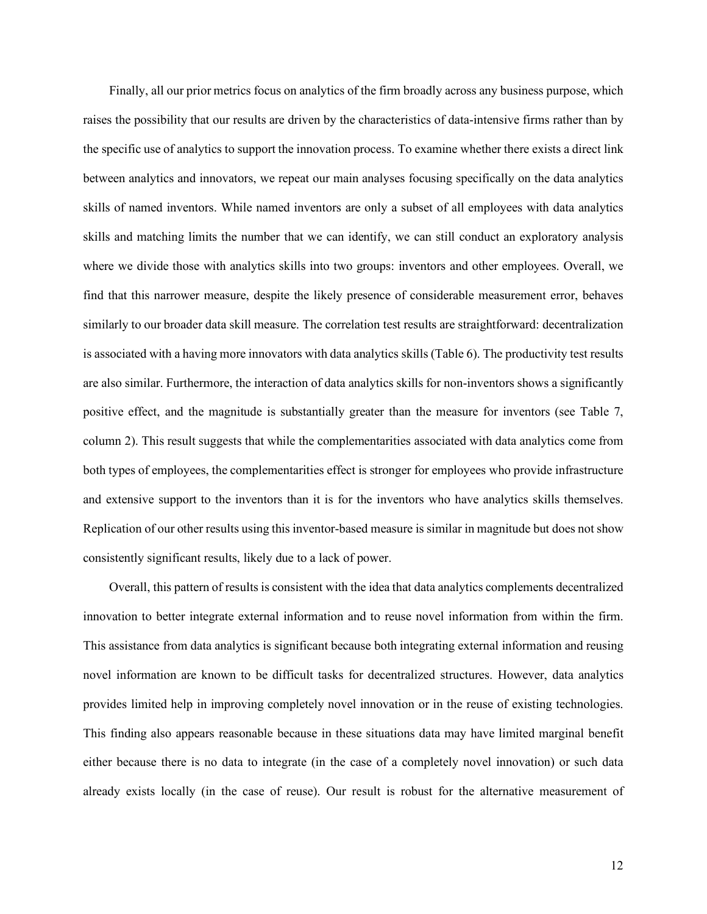Finally, all our prior metrics focus on analytics of the firm broadly across any business purpose, which raises the possibility that our results are driven by the characteristics of data-intensive firms rather than by the specific use of analytics to support the innovation process. To examine whether there exists a direct link between analytics and innovators, we repeat our main analyses focusing specifically on the data analytics skills of named inventors. While named inventors are only a subset of all employees with data analytics skills and matching limits the number that we can identify, we can still conduct an exploratory analysis where we divide those with analytics skills into two groups: inventors and other employees. Overall, we find that this narrower measure, despite the likely presence of considerable measurement error, behaves similarly to our broader data skill measure. The correlation test results are straightforward: decentralization is associated with a having more innovators with data analytics skills (Table 6). The productivity test results are also similar. Furthermore, the interaction of data analytics skills for non-inventors shows a significantly positive effect, and the magnitude is substantially greater than the measure for inventors (see Table 7, column 2). This result suggests that while the complementarities associated with data analytics come from both types of employees, the complementarities effect is stronger for employees who provide infrastructure and extensive support to the inventors than it is for the inventors who have analytics skills themselves. Replication of our other results using this inventor-based measure is similar in magnitude but does not show consistently significant results, likely due to a lack of power.

Overall, this pattern of results is consistent with the idea that data analytics complements decentralized innovation to better integrate external information and to reuse novel information from within the firm. This assistance from data analytics is significant because both integrating external information and reusing novel information are known to be difficult tasks for decentralized structures. However, data analytics provides limited help in improving completely novel innovation or in the reuse of existing technologies. This finding also appears reasonable because in these situations data may have limited marginal benefit either because there is no data to integrate (in the case of a completely novel innovation) or such data already exists locally (in the case of reuse). Our result is robust for the alternative measurement of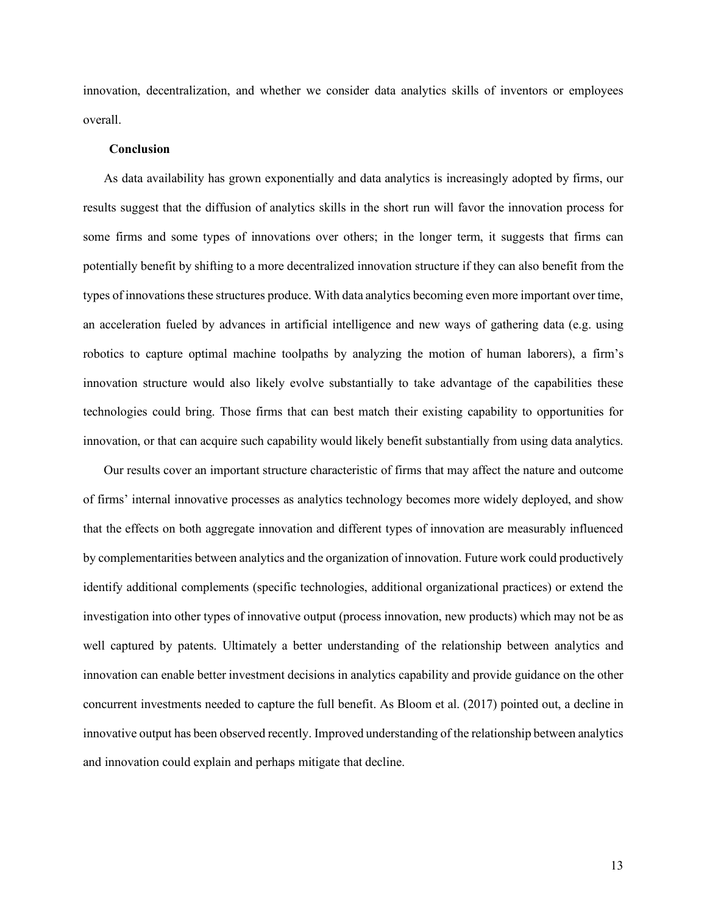innovation, decentralization, and whether we consider data analytics skills of inventors or employees overall.

#### **Conclusion**

As data availability has grown exponentially and data analytics is increasingly adopted by firms, our results suggest that the diffusion of analytics skills in the short run will favor the innovation process for some firms and some types of innovations over others; in the longer term, it suggests that firms can potentially benefit by shifting to a more decentralized innovation structure if they can also benefit from the types of innovations these structures produce. With data analytics becoming even more important over time, an acceleration fueled by advances in artificial intelligence and new ways of gathering data (e.g. using robotics to capture optimal machine toolpaths by analyzing the motion of human laborers), a firm's innovation structure would also likely evolve substantially to take advantage of the capabilities these technologies could bring. Those firms that can best match their existing capability to opportunities for innovation, or that can acquire such capability would likely benefit substantially from using data analytics.

Our results cover an important structure characteristic of firms that may affect the nature and outcome of firms' internal innovative processes as analytics technology becomes more widely deployed, and show that the effects on both aggregate innovation and different types of innovation are measurably influenced by complementarities between analytics and the organization of innovation. Future work could productively identify additional complements (specific technologies, additional organizational practices) or extend the investigation into other types of innovative output (process innovation, new products) which may not be as well captured by patents. Ultimately a better understanding of the relationship between analytics and innovation can enable better investment decisions in analytics capability and provide guidance on the other concurrent investments needed to capture the full benefit. As Bloom et al. (2017) pointed out, a decline in innovative output has been observed recently. Improved understanding of the relationship between analytics and innovation could explain and perhaps mitigate that decline.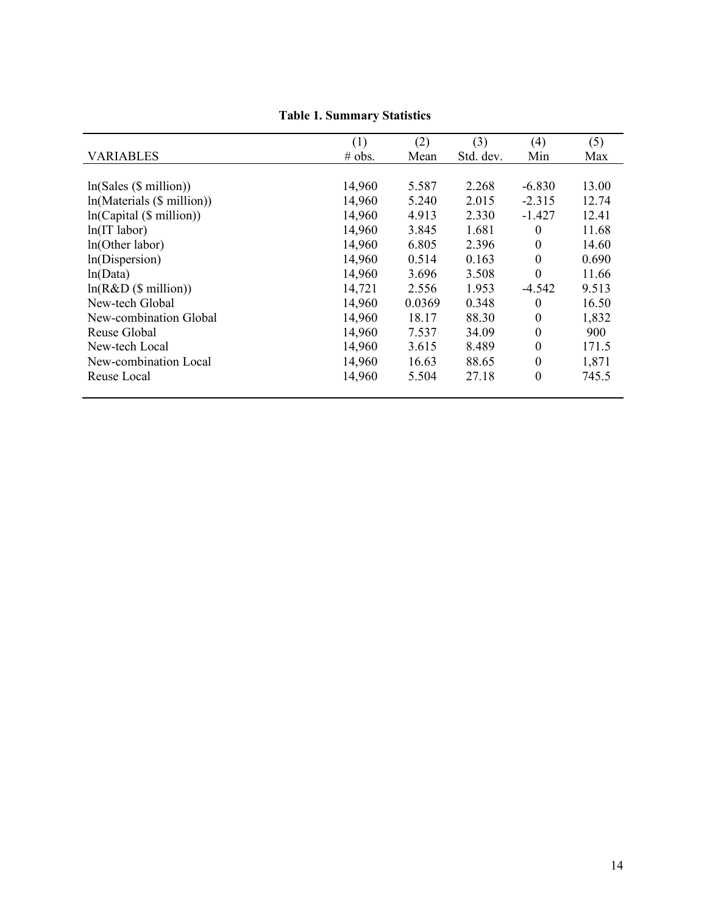|                           | (1)    | (2)    | (3)       | (4)              | (5)   |
|---------------------------|--------|--------|-----------|------------------|-------|
| <b>VARIABLES</b>          | # obs. | Mean   | Std. dev. | Min              | Max   |
|                           |        |        |           |                  |       |
| ln(Sales (\$ million))    | 14,960 | 5.587  | 2.268     | $-6.830$         | 13.00 |
| ln(Materials (\$million)) | 14,960 | 5.240  | 2.015     | $-2.315$         | 12.74 |
| ln(Capital(S million))    | 14,960 | 4.913  | 2.330     | $-1.427$         | 12.41 |
| $ln(IT$ labor)            | 14,960 | 3.845  | 1.681     | $\theta$         | 11.68 |
| ln(Other labor)           | 14,960 | 6.805  | 2.396     | $\theta$         | 14.60 |
| ln(Dispersion)            | 14,960 | 0.514  | 0.163     | $\theta$         | 0.690 |
| ln(Data)                  | 14,960 | 3.696  | 3.508     | $\Omega$         | 11.66 |
| ln(R&D(Smillion))         | 14,721 | 2.556  | 1.953     | -4.542           | 9.513 |
| New-tech Global           | 14,960 | 0.0369 | 0.348     | $\boldsymbol{0}$ | 16.50 |
| New-combination Global    | 14,960 | 18.17  | 88.30     | $\theta$         | 1,832 |
| Reuse Global              | 14,960 | 7.537  | 34.09     | $\theta$         | 900   |
| New-tech Local            | 14,960 | 3.615  | 8.489     | $\theta$         | 171.5 |
| New-combination Local     | 14,960 | 16.63  | 88.65     | $\theta$         | 1,871 |
| Reuse Local               | 14,960 | 5.504  | 27.18     | $\theta$         | 745.5 |

# **Table 1. Summary Statistics**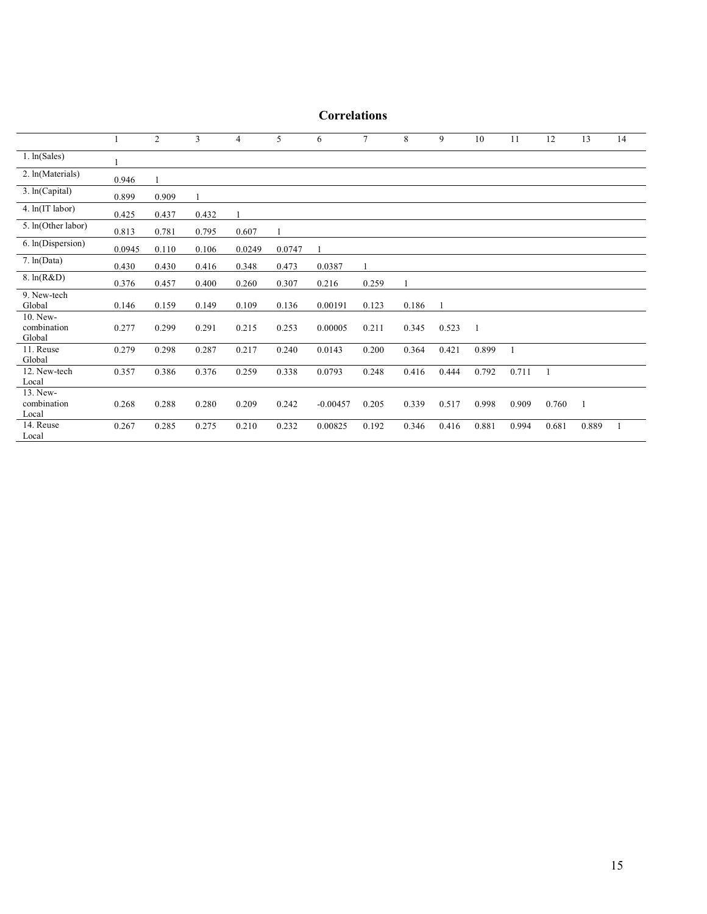|                                   |        | 2     | 3     | $\overline{4}$ | 5      | 6          | $7\phantom{.0}$ | 8     | 9     | 10    | 11    | 12    | 13    | 14 |
|-----------------------------------|--------|-------|-------|----------------|--------|------------|-----------------|-------|-------|-------|-------|-------|-------|----|
| 1. ln(Sales)                      |        |       |       |                |        |            |                 |       |       |       |       |       |       |    |
| 2. ln(Materials)                  | 0.946  |       |       |                |        |            |                 |       |       |       |       |       |       |    |
| 3. ln(Capital)                    | 0.899  | 0.909 |       |                |        |            |                 |       |       |       |       |       |       |    |
| 4. ln(IT labor)                   | 0.425  | 0.437 | 0.432 |                |        |            |                 |       |       |       |       |       |       |    |
| 5. In(Other labor)                | 0.813  | 0.781 | 0.795 | 0.607          |        |            |                 |       |       |       |       |       |       |    |
| 6. In(Dispersion)                 | 0.0945 | 0.110 | 0.106 | 0.0249         | 0.0747 |            |                 |       |       |       |       |       |       |    |
| 7. ln(Data)                       | 0.430  | 0.430 | 0.416 | 0.348          | 0.473  | 0.0387     |                 |       |       |       |       |       |       |    |
| 8. ln(R&D)                        | 0.376  | 0.457 | 0.400 | 0.260          | 0.307  | 0.216      | 0.259           |       |       |       |       |       |       |    |
| 9. New-tech<br>Global             | 0.146  | 0.159 | 0.149 | 0.109          | 0.136  | 0.00191    | 0.123           | 0.186 |       |       |       |       |       |    |
| 10. New-<br>combination<br>Global | 0.277  | 0.299 | 0.291 | 0.215          | 0.253  | 0.00005    | 0.211           | 0.345 | 0.523 | -1    |       |       |       |    |
| 11. Reuse<br>Global               | 0.279  | 0.298 | 0.287 | 0.217          | 0.240  | 0.0143     | 0.200           | 0.364 | 0.421 | 0.899 |       |       |       |    |
| 12. New-tech<br>Local             | 0.357  | 0.386 | 0.376 | 0.259          | 0.338  | 0.0793     | 0.248           | 0.416 | 0.444 | 0.792 | 0.711 | 1     |       |    |
| 13. New-<br>combination<br>Local  | 0.268  | 0.288 | 0.280 | 0.209          | 0.242  | $-0.00457$ | 0.205           | 0.339 | 0.517 | 0.998 | 0.909 | 0.760 | 1     |    |
| 14. Reuse<br>Local                | 0.267  | 0.285 | 0.275 | 0.210          | 0.232  | 0.00825    | 0.192           | 0.346 | 0.416 | 0.881 | 0.994 | 0.681 | 0.889 |    |

# **Correlations**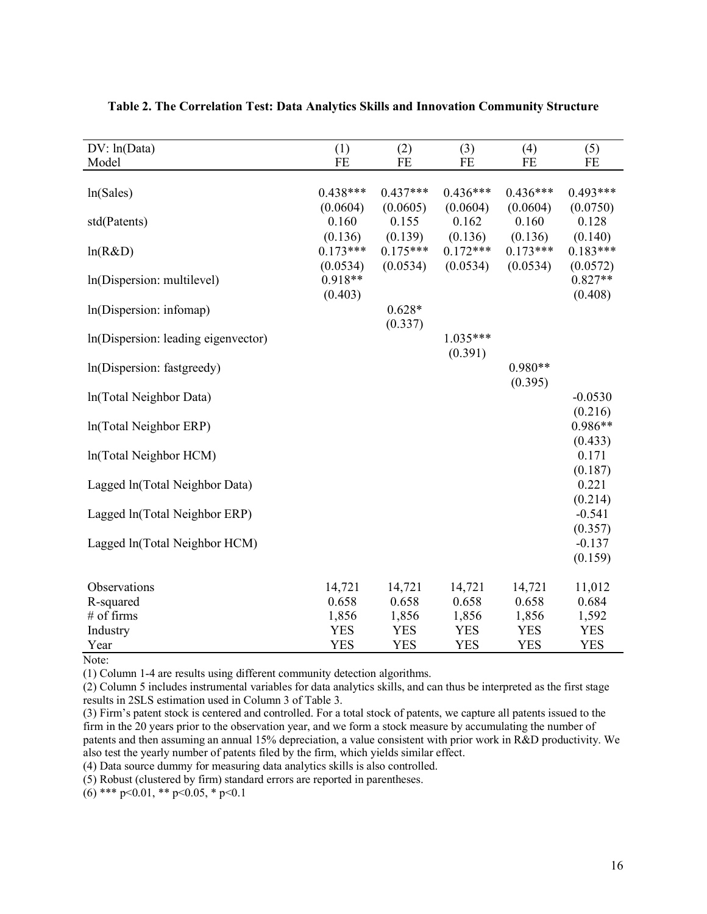| DV: ln(Data)                        | (1)        | (2)        | (3)        | (4)        | (5)        |
|-------------------------------------|------------|------------|------------|------------|------------|
| Model                               | FE         | FE         | <b>FE</b>  | FE         | FE         |
|                                     |            |            |            |            |            |
| ln(Sales)                           | $0.438***$ | $0.437***$ | $0.436***$ | $0.436***$ | $0.493***$ |
|                                     | (0.0604)   | (0.0605)   | (0.0604)   | (0.0604)   | (0.0750)   |
| std(Patents)                        | 0.160      | 0.155      | 0.162      | 0.160      | 0.128      |
|                                     | (0.136)    | (0.139)    | (0.136)    | (0.136)    | (0.140)    |
| ln(R&D)                             | $0.173***$ | $0.175***$ | $0.172***$ | $0.173***$ | $0.183***$ |
|                                     | (0.0534)   | (0.0534)   | (0.0534)   | (0.0534)   | (0.0572)   |
| In(Dispersion: multilevel)          | $0.918**$  |            |            |            | $0.827**$  |
|                                     | (0.403)    |            |            |            | (0.408)    |
| In(Dispersion: infomap)             |            | $0.628*$   |            |            |            |
|                                     |            | (0.337)    |            |            |            |
| In(Dispersion: leading eigenvector) |            |            | $1.035***$ |            |            |
|                                     |            |            | (0.391)    |            |            |
| In(Dispersion: fastgreedy)          |            |            |            | $0.980**$  |            |
|                                     |            |            |            | (0.395)    |            |
| In(Total Neighbor Data)             |            |            |            |            | $-0.0530$  |
|                                     |            |            |            |            | (0.216)    |
| ln(Total Neighbor ERP)              |            |            |            |            | $0.986**$  |
|                                     |            |            |            |            | (0.433)    |
| ln(Total Neighbor HCM)              |            |            |            |            | 0.171      |
|                                     |            |            |            |            | (0.187)    |
| Lagged ln(Total Neighbor Data)      |            |            |            |            | 0.221      |
|                                     |            |            |            |            | (0.214)    |
| Lagged ln(Total Neighbor ERP)       |            |            |            |            | $-0.541$   |
|                                     |            |            |            |            | (0.357)    |
| Lagged ln(Total Neighbor HCM)       |            |            |            |            | $-0.137$   |
|                                     |            |            |            |            | (0.159)    |
|                                     |            |            |            |            |            |
| Observations                        | 14,721     | 14,721     | 14,721     | 14,721     | 11,012     |
| R-squared                           | 0.658      | 0.658      | 0.658      | 0.658      | 0.684      |
| # of firms                          | 1,856      | 1,856      | 1,856      | 1,856      | 1,592      |
| Industry                            | <b>YES</b> | <b>YES</b> | <b>YES</b> | <b>YES</b> | <b>YES</b> |
| Year                                | <b>YES</b> | <b>YES</b> | <b>YES</b> | <b>YES</b> | <b>YES</b> |

## **Table 2. The Correlation Test: Data Analytics Skills and Innovation Community Structure**

Note:

(1) Column 1-4 are results using different community detection algorithms.

(2) Column 5 includes instrumental variables for data analytics skills, and can thus be interpreted as the first stage results in 2SLS estimation used in Column 3 of Table 3.

(3) Firm's patent stock is centered and controlled. For a total stock of patents, we capture all patents issued to the firm in the 20 years prior to the observation year, and we form a stock measure by accumulating the number of patents and then assuming an annual 15% depreciation, a value consistent with prior work in R&D productivity. We also test the yearly number of patents filed by the firm, which yields similar effect.

(4) Data source dummy for measuring data analytics skills is also controlled.

(5) Robust (clustered by firm) standard errors are reported in parentheses.

 $(6)$  \*\*\* p<0.01, \*\* p<0.05, \* p<0.1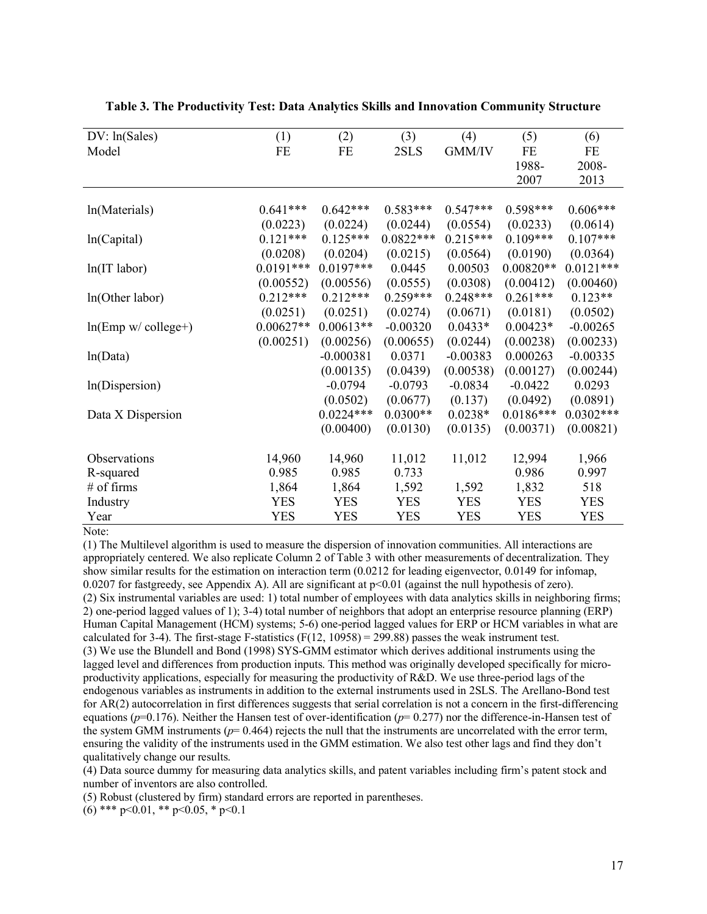| DV: ln(Sales)          | (1)         | (2)         | (3)         | (4)        | (5)         | (6)         |
|------------------------|-------------|-------------|-------------|------------|-------------|-------------|
| Model                  | FE          | FE          | 2SLS        | GMM/IV     | FE          | FE          |
|                        |             |             |             |            | 1988-       | 2008-       |
|                        |             |             |             |            | 2007        | 2013        |
|                        |             |             |             |            |             |             |
| ln(Materials)          | $0.641***$  | $0.642***$  | $0.583***$  | $0.547***$ | $0.598***$  | $0.606***$  |
|                        | (0.0223)    | (0.0224)    | (0.0244)    | (0.0554)   | (0.0233)    | (0.0614)    |
| ln(Capital)            | $0.121***$  | $0.125***$  | $0.0822***$ | $0.215***$ | $0.109***$  | $0.107***$  |
|                        | (0.0208)    | (0.0204)    | (0.0215)    | (0.0564)   | (0.0190)    | (0.0364)    |
| $ln(IT$ labor)         | $0.0191***$ | $0.0197***$ | 0.0445      | 0.00503    | $0.00820**$ | $0.0121***$ |
|                        | (0.00552)   | (0.00556)   | (0.0555)    | (0.0308)   | (0.00412)   | (0.00460)   |
| ln(Other labor)        | $0.212***$  | $0.212***$  | $0.259***$  | $0.248***$ | $0.261***$  | $0.123**$   |
|                        | (0.0251)    | (0.0251)    | (0.0274)    | (0.0671)   | (0.0181)    | (0.0502)    |
| $ln(Emp w / college+)$ | $0.00627**$ | $0.00613**$ | $-0.00320$  | $0.0433*$  | $0.00423*$  | $-0.00265$  |
|                        | (0.00251)   | (0.00256)   | (0.00655)   | (0.0244)   | (0.00238)   | (0.00233)   |
| ln(Data)               |             | $-0.000381$ | 0.0371      | $-0.00383$ | 0.000263    | $-0.00335$  |
|                        |             | (0.00135)   | (0.0439)    | (0.00538)  | (0.00127)   | (0.00244)   |
| ln(Dispersion)         |             | $-0.0794$   | $-0.0793$   | $-0.0834$  | $-0.0422$   | 0.0293      |
|                        |             | (0.0502)    | (0.0677)    | (0.137)    | (0.0492)    | (0.0891)    |
| Data X Dispersion      |             | $0.0224***$ | $0.0300**$  | $0.0238*$  | $0.0186***$ | $0.0302***$ |
|                        |             | (0.00400)   | (0.0130)    | (0.0135)   | (0.00371)   | (0.00821)   |
|                        |             |             |             |            |             |             |
| Observations           | 14,960      | 14,960      | 11,012      | 11,012     | 12,994      | 1,966       |
| R-squared              | 0.985       | 0.985       | 0.733       |            | 0.986       | 0.997       |
| $#$ of firms           | 1,864       | 1,864       | 1,592       | 1,592      | 1,832       | 518         |
| Industry               | <b>YES</b>  | <b>YES</b>  | <b>YES</b>  | <b>YES</b> | <b>YES</b>  | <b>YES</b>  |
| Year                   | <b>YES</b>  | <b>YES</b>  | <b>YES</b>  | <b>YES</b> | <b>YES</b>  | <b>YES</b>  |

#### **Table 3. The Productivity Test: Data Analytics Skills and Innovation Community Structure**

Note:

(1) The Multilevel algorithm is used to measure the dispersion of innovation communities. All interactions are appropriately centered. We also replicate Column 2 of Table 3 with other measurements of decentralization. They show similar results for the estimation on interaction term (0.0212 for leading eigenvector, 0.0149 for infomap, 0.0207 for fastgreedy, see Appendix A). All are significant at p<0.01 (against the null hypothesis of zero). (2) Six instrumental variables are used: 1) total number of employees with data analytics skills in neighboring firms; 2) one-period lagged values of 1); 3-4) total number of neighbors that adopt an enterprise resource planning (ERP) Human Capital Management (HCM) systems; 5-6) one-period lagged values for ERP or HCM variables in what are calculated for 3-4). The first-stage F-statistics  $(F(12, 10958) = 299.88)$  passes the weak instrument test. (3) We use the Blundell and Bond (1998) SYS-GMM estimator which derives additional instruments using the lagged level and differences from production inputs. This method was originally developed specifically for microproductivity applications, especially for measuring the productivity of R&D. We use three-period lags of the endogenous variables as instruments in addition to the external instruments used in 2SLS. The Arellano-Bond test for AR(2) autocorrelation in first differences suggests that serial correlation is not a concern in the first-differencing equations ( $p=0.176$ ). Neither the Hansen test of over-identification ( $p=0.277$ ) nor the difference-in-Hansen test of the system GMM instruments (*p*= 0.464) rejects the null that the instruments are uncorrelated with the error term, ensuring the validity of the instruments used in the GMM estimation. We also test other lags and find they don't qualitatively change our results.

(4) Data source dummy for measuring data analytics skills, and patent variables including firm's patent stock and number of inventors are also controlled.

(5) Robust (clustered by firm) standard errors are reported in parentheses.

 $(6)$  \*\*\* p<0.01, \*\* p<0.05, \* p<0.1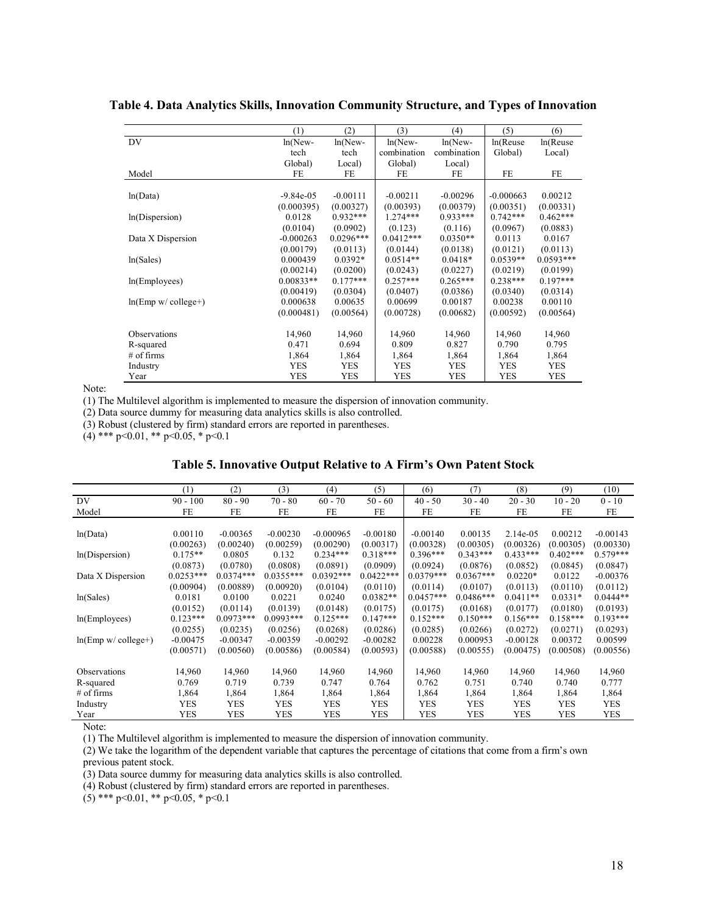|                      | (1)           | (2)         | (3)         | (4)         | (5)         | (6)         |
|----------------------|---------------|-------------|-------------|-------------|-------------|-------------|
| DV                   | $ln(New-$     | $ln(New-$   | $ln(New-$   | $ln(New-$   | ln(Reuse    | ln(Reuse    |
|                      | tech          | tech        | combination | combination | Global)     | Local)      |
|                      | Global)       | Local)      | Global)     | Local)      |             |             |
| Model                | FE            | FE          | FE          | FE          | FE          | FE          |
|                      |               |             |             |             |             |             |
| ln(Data)             | $-9.84e - 05$ | $-0.00111$  | $-0.00211$  | $-0.00296$  | $-0.000663$ | 0.00212     |
|                      | (0.000395)    | (0.00327)   | (0.00393)   | (0.00379)   | (0.00351)   | (0.00331)   |
| ln(Dispersion)       | 0.0128        | $0.932***$  | $1.274***$  | $0.933***$  | $0.742***$  | $0.462***$  |
|                      | (0.0104)      | (0.0902)    | (0.123)     | (0.116)     | (0.0967)    | (0.0883)    |
| Data X Dispersion    | $-0.000263$   | $0.0296***$ | $0.0412***$ | $0.0350**$  | 0.0113      | 0.0167      |
|                      | (0.00179)     | (0.0113)    | (0.0144)    | (0.0138)    | (0.0121)    | (0.0113)    |
| ln(Sales)            | 0.000439      | $0.0392*$   | $0.0514**$  | $0.0418*$   | $0.0539**$  | $0.0593***$ |
|                      | (0.00214)     | (0.0200)    | (0.0243)    | (0.0227)    | (0.0219)    | (0.0199)    |
| ln(Emplovees)        | $0.00833**$   | $0.177***$  | $0.257***$  | $0.265***$  | $0.238***$  | $0.197***$  |
|                      | (0.00419)     | (0.0304)    | (0.0407)    | (0.0386)    | (0.0340)    | (0.0314)    |
| $ln(Emp w/college+)$ | 0.000638      | 0.00635     | 0.00699     | 0.00187     | 0.00238     | 0.00110     |
|                      | (0.000481)    | (0.00564)   | (0.00728)   | (0.00682)   | (0.00592)   | (0.00564)   |
|                      |               |             |             |             |             |             |
| Observations         | 14,960        | 14,960      | 14,960      | 14,960      | 14,960      | 14,960      |
| R-squared            | 0.471         | 0.694       | 0.809       | 0.827       | 0.790       | 0.795       |
| $#$ of firms         | 1,864         | 1,864       | 1,864       | 1,864       | 1,864       | 1,864       |
| Industry             | <b>YES</b>    | <b>YES</b>  | <b>YES</b>  | <b>YES</b>  | <b>YES</b>  | <b>YES</b>  |
| Year                 | <b>YES</b>    | <b>YES</b>  | <b>YES</b>  | <b>YES</b>  | <b>YES</b>  | <b>YES</b>  |

**Table 4. Data Analytics Skills, Innovation Community Structure, and Types of Innovation**

Note:

(1) The Multilevel algorithm is implemented to measure the dispersion of innovation community.

(2) Data source dummy for measuring data analytics skills is also controlled.

(3) Robust (clustered by firm) standard errors are reported in parentheses.

 $(4)$  \*\*\* p<0.01, \*\* p<0.05, \* p<0.1

### **Table 5. Innovative Output Relative to A Firm's Own Patent Stock**

|                      | (1)         | (2)         | (3)         | (4)         | (5)         | (6)         | (7)         | (8)        | (9)        | (10)       |
|----------------------|-------------|-------------|-------------|-------------|-------------|-------------|-------------|------------|------------|------------|
| DV                   | $90 - 100$  | $80 - 90$   | $70 - 80$   | $60 - 70$   | $50 - 60$   | $40 - 50$   | $30 - 40$   | $20 - 30$  | $10 - 20$  | $0 - 10$   |
| Model                | FE          | FE          | FE          | FE          | FE          | FE          | FE          | FE         | FE         | FE         |
|                      |             |             |             |             |             |             |             |            |            |            |
| ln(Data)             | 0.00110     | $-0.00365$  | $-0.00230$  | $-0.000965$ | $-0.00180$  | $-0.00140$  | 0.00135     | 2.14e-05   | 0.00212    | $-0.00143$ |
|                      | (0.00263)   | (0.00240)   | (0.00259)   | (0.00290)   | (0.00317)   | (0.00328)   | (0.00305)   | (0.00326)  | (0.00305)  | (0.00330)  |
| ln(Dispersion)       | $0.175**$   | 0.0805      | 0.132       | $0.234***$  | $0.318***$  | $0.396***$  | $0.343***$  | $0.433***$ | $0.402***$ | $0.579***$ |
|                      | (0.0873)    | (0.0780)    | (0.0808)    | (0.0891)    | (0.0909)    | (0.0924)    | (0.0876)    | (0.0852)   | (0.0845)   | (0.0847)   |
| Data X Dispersion    | $0.0253***$ | $0.0374***$ | $0.0355***$ | $0.0392***$ | $0.0422***$ | $0.0379***$ | $0.0367***$ | $0.0220*$  | 0.0122     | $-0.00376$ |
|                      | (0.00904)   | (0.00889)   | (0.00920)   | (0.0104)    | (0.0110)    | (0.0114)    | (0.0107)    | (0.0113)   | (0.0110)   | (0.0112)   |
| ln(Sales)            | 0.0181      | 0.0100      | 0.0221      | 0.0240      | $0.0382**$  | $0.0457***$ | $0.0486***$ | $0.0411**$ | $0.0331*$  | $0.0444**$ |
|                      | (0.0152)    | (0.0114)    | (0.0139)    | (0.0148)    | (0.0175)    | (0.0175)    | (0.0168)    | (0.0177)   | (0.0180)   | (0.0193)   |
| ln(Employes)         | $0.123***$  | $0.0973***$ | $0.0993***$ | $0.125***$  | $0.147***$  | $0.152***$  | $0.150***$  | $0.156***$ | $0.158***$ | $0.193***$ |
|                      | (0.0255)    | (0.0235)    | (0.0256)    | (0.0268)    | (0.0286)    | (0.0285)    | (0.0266)    | (0.0272)   | (0.0271)   | (0.0293)   |
| $ln(Emp w/college+)$ | $-0.00475$  | $-0.00347$  | $-0.00359$  | $-0.00292$  | $-0.00282$  | 0.00228     | 0.000953    | $-0.00128$ | 0.00372    | 0.00599    |
|                      | (0.00571)   | (0.00560)   | (0.00586)   | (0.00584)   | (0.00593)   | (0.00588)   | (0.00555)   | (0.00475)  | (0.00508)  | (0.00556)  |
|                      |             |             |             |             |             |             |             |            |            |            |
| <b>Observations</b>  | 14,960      | 14,960      | 14,960      | 14,960      | 14,960      | 14,960      | 14,960      | 14,960     | 14,960     | 14,960     |
| R-squared            | 0.769       | 0.719       | 0.739       | 0.747       | 0.764       | 0.762       | 0.751       | 0.740      | 0.740      | 0.777      |
| $#$ of firms         | 1,864       | 1,864       | 1,864       | 1,864       | 1,864       | 1,864       | 1,864       | 1,864      | 1,864      | 1,864      |
| Industry             | <b>YES</b>  | <b>YES</b>  | <b>YES</b>  | YES         | YES         | <b>YES</b>  | <b>YES</b>  | <b>YES</b> | <b>YES</b> | YES        |
| Year                 | <b>YES</b>  | <b>YES</b>  | YES         | <b>YES</b>  | YES         | <b>YES</b>  | <b>YES</b>  | <b>YES</b> | <b>YES</b> | YES        |

Note:

(1) The Multilevel algorithm is implemented to measure the dispersion of innovation community.

(2) We take the logarithm of the dependent variable that captures the percentage of citations that come from a firm's own

previous patent stock.

(3) Data source dummy for measuring data analytics skills is also controlled.

(4) Robust (clustered by firm) standard errors are reported in parentheses.

 $(5)$  \*\*\* p<0.01, \*\* p<0.05, \* p<0.1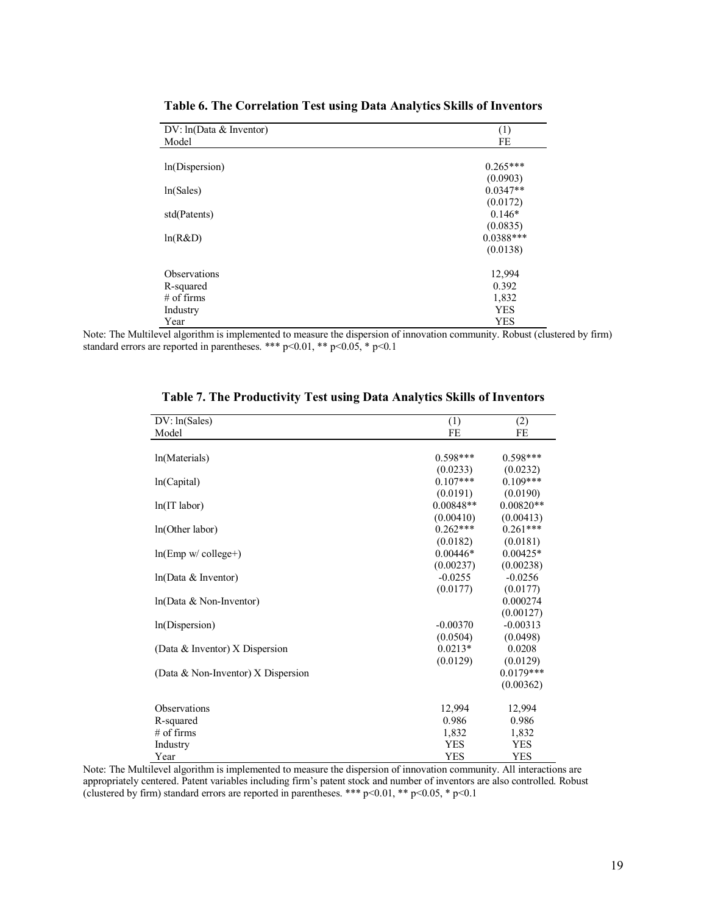| DV: ln(Data & Inventor) | (1)         |
|-------------------------|-------------|
| Model                   | FE          |
| ln(Dispersion)          | $0.265***$  |
|                         | (0.0903)    |
| ln(Sales)               | $0.0347**$  |
|                         | (0.0172)    |
| std(Patents)            | $0.146*$    |
|                         | (0.0835)    |
| ln(R&D)                 | $0.0388***$ |
|                         | (0.0138)    |
| <b>Observations</b>     | 12,994      |
| R-squared               | 0.392       |
| $#$ of firms            | 1,832       |
| Industry                | <b>YES</b>  |
| Year                    | <b>YES</b>  |

**Table 6. The Correlation Test using Data Analytics Skills of Inventors**

Note: The Multilevel algorithm is implemented to measure the dispersion of innovation community. Robust (clustered by firm) standard errors are reported in parentheses. \*\*\* p<0.01, \*\* p<0.05, \* p<0.1

| DV: ln(Sales)                      | (1)         | (2)         |
|------------------------------------|-------------|-------------|
| Model                              | FE          | FE          |
|                                    |             |             |
| ln(Materials)                      | $0.598***$  | $0.598***$  |
|                                    | (0.0233)    | (0.0232)    |
| ln(Capital)                        | $0.107***$  | $0.109***$  |
|                                    | (0.0191)    | (0.0190)    |
| $ln(T$ labor)                      | $0.00848**$ | $0.00820**$ |
|                                    | (0.00410)   | (0.00413)   |
| ln(Other labor)                    | $0.262***$  | $0.261***$  |
|                                    | (0.0182)    | (0.0181)    |
| $ln(Emp w / college+)$             | $0.00446*$  | $0.00425*$  |
|                                    | (0.00237)   | (0.00238)   |
| ln(Data & Inventor)                | $-0.0255$   | $-0.0256$   |
|                                    | (0.0177)    | (0.0177)    |
| $ln(Data & Non-Inventor)$          |             | 0.000274    |
|                                    |             | (0.00127)   |
| ln(Dispersion)                     | $-0.00370$  | $-0.00313$  |
|                                    | (0.0504)    | (0.0498)    |
| (Data & Inventor) $X$ Dispersion   | $0.0213*$   | 0.0208      |
|                                    | (0.0129)    | (0.0129)    |
| (Data & Non-Inventor) X Dispersion |             | $0.0179***$ |
|                                    |             | (0.00362)   |
|                                    |             |             |
| Observations                       | 12,994      | 12,994      |
| R-squared                          | 0.986       | 0.986       |
| $#$ of firms                       | 1,832       | 1,832       |
| Industry                           | <b>YES</b>  | <b>YES</b>  |
| Year                               | <b>YES</b>  | <b>YES</b>  |

|  | Table 7. The Productivity Test using Data Analytics Skills of Inventors |  |  |  |
|--|-------------------------------------------------------------------------|--|--|--|
|  |                                                                         |  |  |  |

Note: The Multilevel algorithm is implemented to measure the dispersion of innovation community. All interactions are appropriately centered. Patent variables including firm's patent stock and number of inventors are also controlled. Robust (clustered by firm) standard errors are reported in parentheses. \*\*\*  $p<0.01$ , \*\*  $p<0.05$ , \*  $p<0.1$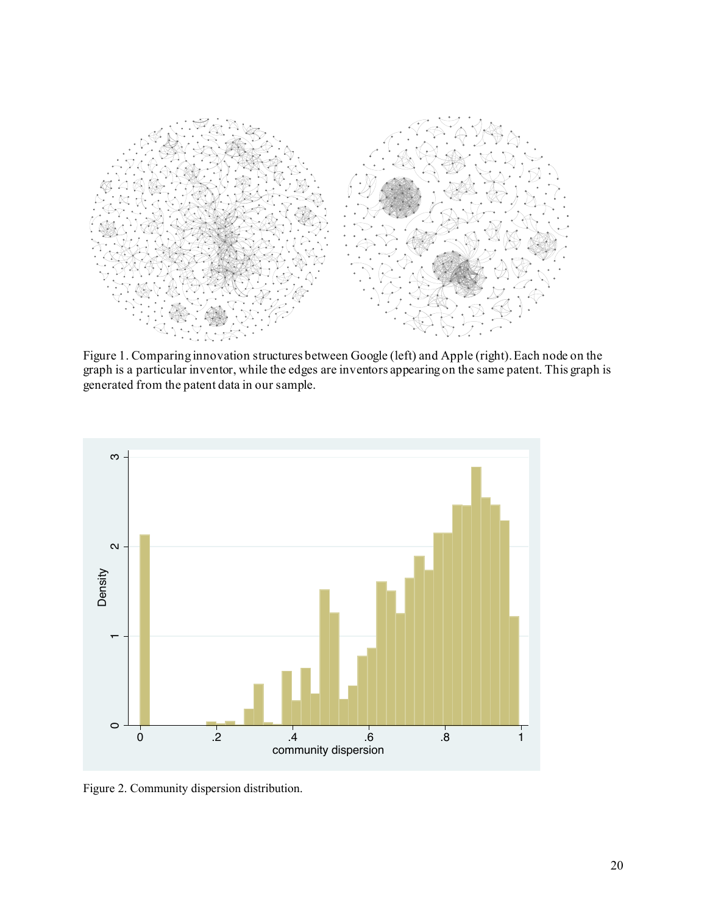

Figure 1. Comparing innovation structures between Google (left) and Apple (right). Each node on the graph is a particular inventor, while the edges are inventors appearing on the same patent. This graph is generated from the patent data in our sample.



Figure 2. Community dispersion distribution.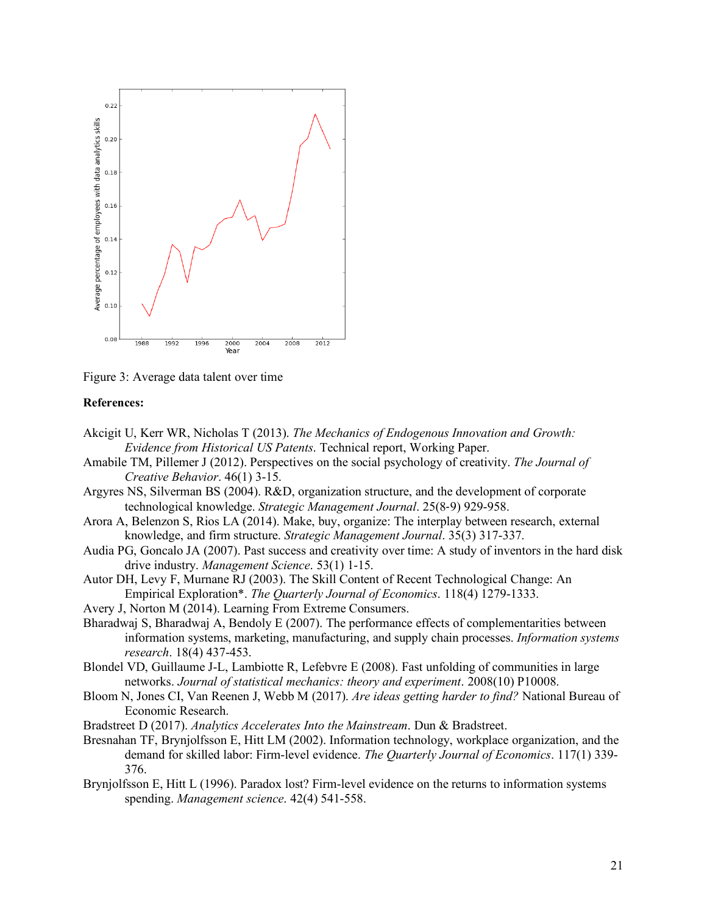

Figure 3: Average data talent over time

### **References:**

- Akcigit U, Kerr WR, Nicholas T (2013). *The Mechanics of Endogenous Innovation and Growth: Evidence from Historical US Patents*. Technical report, Working Paper.
- Amabile TM, Pillemer J (2012). Perspectives on the social psychology of creativity. *The Journal of Creative Behavior*. 46(1) 3-15.
- Argyres NS, Silverman BS (2004). R&D, organization structure, and the development of corporate technological knowledge. *Strategic Management Journal*. 25(8-9) 929-958.
- Arora A, Belenzon S, Rios LA (2014). Make, buy, organize: The interplay between research, external knowledge, and firm structure. *Strategic Management Journal*. 35(3) 317-337.
- Audia PG, Goncalo JA (2007). Past success and creativity over time: A study of inventors in the hard disk drive industry. *Management Science*. 53(1) 1-15.
- Autor DH, Levy F, Murnane RJ (2003). The Skill Content of Recent Technological Change: An Empirical Exploration\*. *The Quarterly Journal of Economics*. 118(4) 1279-1333.
- Avery J, Norton M (2014). Learning From Extreme Consumers.
- Bharadwaj S, Bharadwaj A, Bendoly E (2007). The performance effects of complementarities between information systems, marketing, manufacturing, and supply chain processes. *Information systems research*. 18(4) 437-453.
- Blondel VD, Guillaume J-L, Lambiotte R, Lefebvre E (2008). Fast unfolding of communities in large networks. *Journal of statistical mechanics: theory and experiment*. 2008(10) P10008.
- Bloom N, Jones CI, Van Reenen J, Webb M (2017). *Are ideas getting harder to find?* National Bureau of Economic Research.
- Bradstreet D (2017). *Analytics Accelerates Into the Mainstream*. Dun & Bradstreet.
- Bresnahan TF, Brynjolfsson E, Hitt LM (2002). Information technology, workplace organization, and the demand for skilled labor: Firm-level evidence. *The Quarterly Journal of Economics*. 117(1) 339- 376.
- Brynjolfsson E, Hitt L (1996). Paradox lost? Firm-level evidence on the returns to information systems spending. *Management science*. 42(4) 541-558.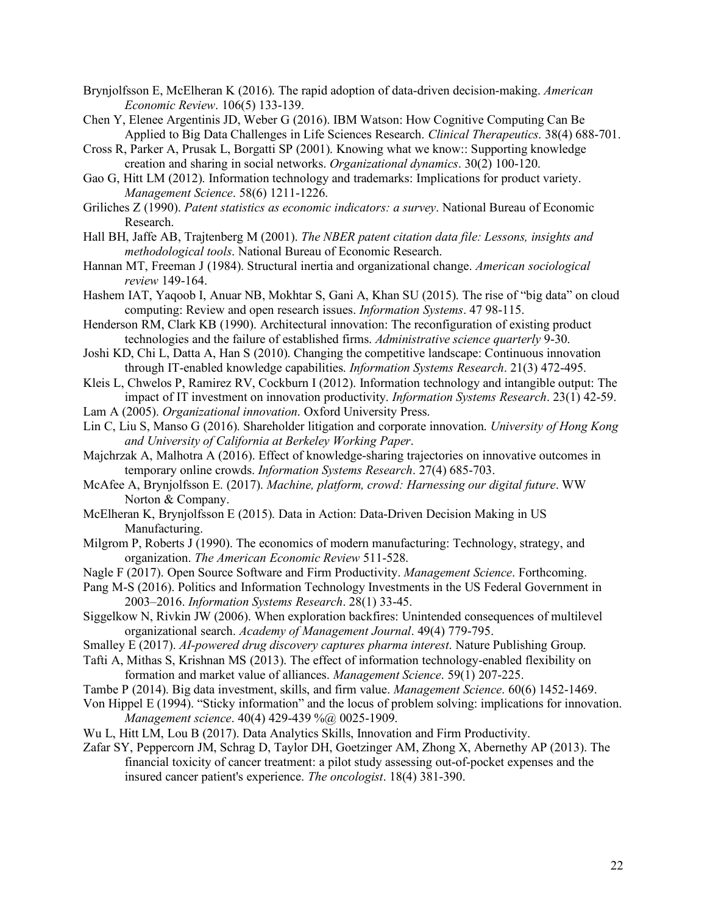- Brynjolfsson E, McElheran K (2016). The rapid adoption of data-driven decision-making. *American Economic Review*. 106(5) 133-139.
- Chen Y, Elenee Argentinis JD, Weber G (2016). IBM Watson: How Cognitive Computing Can Be Applied to Big Data Challenges in Life Sciences Research. *Clinical Therapeutics*. 38(4) 688-701.
- Cross R, Parker A, Prusak L, Borgatti SP (2001). Knowing what we know:: Supporting knowledge creation and sharing in social networks. *Organizational dynamics*. 30(2) 100-120.
- Gao G, Hitt LM (2012). Information technology and trademarks: Implications for product variety. *Management Science*. 58(6) 1211-1226.
- Griliches Z (1990). *Patent statistics as economic indicators: a survey*. National Bureau of Economic Research.
- Hall BH, Jaffe AB, Trajtenberg M (2001). *The NBER patent citation data file: Lessons, insights and methodological tools*. National Bureau of Economic Research.
- Hannan MT, Freeman J (1984). Structural inertia and organizational change. *American sociological review* 149-164.
- Hashem IAT, Yaqoob I, Anuar NB, Mokhtar S, Gani A, Khan SU (2015). The rise of "big data" on cloud computing: Review and open research issues. *Information Systems*. 47 98-115.
- Henderson RM, Clark KB (1990). Architectural innovation: The reconfiguration of existing product technologies and the failure of established firms. *Administrative science quarterly* 9-30.
- Joshi KD, Chi L, Datta A, Han S (2010). Changing the competitive landscape: Continuous innovation through IT-enabled knowledge capabilities. *Information Systems Research*. 21(3) 472-495.
- Kleis L, Chwelos P, Ramirez RV, Cockburn I (2012). Information technology and intangible output: The impact of IT investment on innovation productivity. *Information Systems Research*. 23(1) 42-59.
- Lam A (2005). *Organizational innovation*. Oxford University Press.
- Lin C, Liu S, Manso G (2016). Shareholder litigation and corporate innovation. *University of Hong Kong and University of California at Berkeley Working Paper*.
- Majchrzak A, Malhotra A (2016). Effect of knowledge-sharing trajectories on innovative outcomes in temporary online crowds. *Information Systems Research*. 27(4) 685-703.
- McAfee A, Brynjolfsson E. (2017). *Machine, platform, crowd: Harnessing our digital future*. WW Norton & Company.
- McElheran K, Brynjolfsson E (2015). Data in Action: Data-Driven Decision Making in US Manufacturing.
- Milgrom P, Roberts J (1990). The economics of modern manufacturing: Technology, strategy, and organization. *The American Economic Review* 511-528.
- Nagle F (2017). Open Source Software and Firm Productivity. *Management Science*. Forthcoming.
- Pang M-S (2016). Politics and Information Technology Investments in the US Federal Government in 2003–2016. *Information Systems Research*. 28(1) 33-45.
- Siggelkow N, Rivkin JW (2006). When exploration backfires: Unintended consequences of multilevel organizational search. *Academy of Management Journal*. 49(4) 779-795.
- Smalley E (2017). *AI-powered drug discovery captures pharma interest*. Nature Publishing Group.
- Tafti A, Mithas S, Krishnan MS (2013). The effect of information technology-enabled flexibility on formation and market value of alliances. *Management Science*. 59(1) 207-225.
- Tambe P (2014). Big data investment, skills, and firm value. *Management Science*. 60(6) 1452-1469.
- Von Hippel E (1994). "Sticky information" and the locus of problem solving: implications for innovation. *Management science.* 40(4) 429-439 %@ 0025-1909.
- Wu L, Hitt LM, Lou B (2017). Data Analytics Skills, Innovation and Firm Productivity.
- Zafar SY, Peppercorn JM, Schrag D, Taylor DH, Goetzinger AM, Zhong X, Abernethy AP (2013). The financial toxicity of cancer treatment: a pilot study assessing out-of-pocket expenses and the insured cancer patient's experience. *The oncologist*. 18(4) 381-390.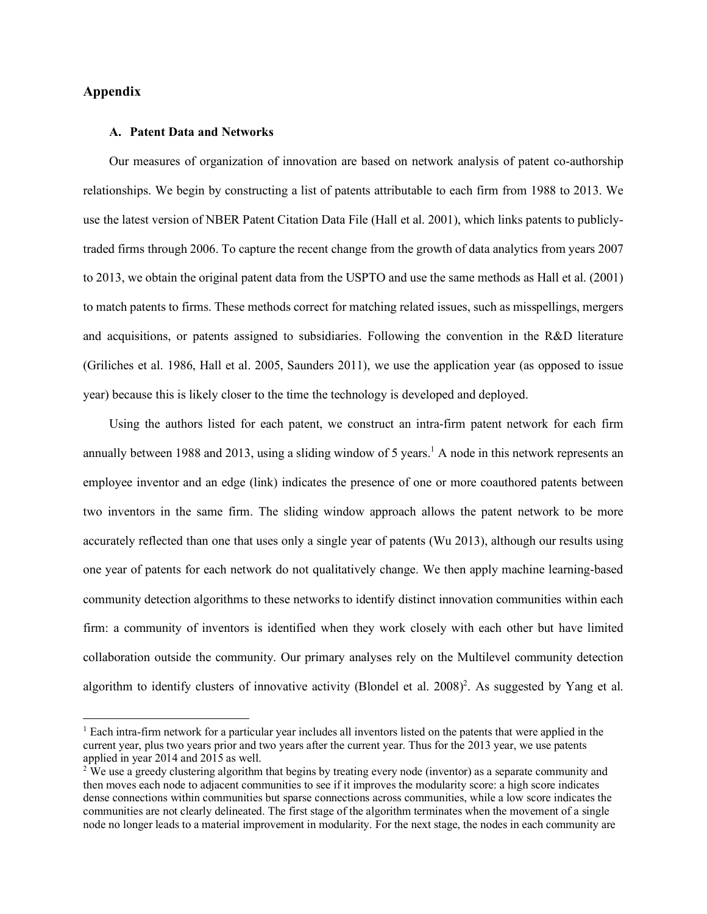# **Appendix**

 $\overline{\phantom{a}}$ 

#### **A. Patent Data and Networks**

Our measures of organization of innovation are based on network analysis of patent co-authorship relationships. We begin by constructing a list of patents attributable to each firm from 1988 to 2013. We use the latest version of NBER Patent Citation Data File (Hall et al. 2001), which links patents to publiclytraded firms through 2006. To capture the recent change from the growth of data analytics from years 2007 to 2013, we obtain the original patent data from the USPTO and use the same methods as Hall et al. (2001) to match patents to firms. These methods correct for matching related issues, such as misspellings, mergers and acquisitions, or patents assigned to subsidiaries. Following the convention in the R&D literature (Griliches et al. 1986, Hall et al. 2005, Saunders 2011), we use the application year (as opposed to issue year) because this is likely closer to the time the technology is developed and deployed.

Using the authors listed for each patent, we construct an intra-firm patent network for each firm annually between 1988 and 2013, using a sliding window of 5 years.<sup>1</sup> A node in this network represents an employee inventor and an edge (link) indicates the presence of one or more coauthored patents between two inventors in the same firm. The sliding window approach allows the patent network to be more accurately reflected than one that uses only a single year of patents (Wu 2013), although our results using one year of patents for each network do not qualitatively change. We then apply machine learning-based community detection algorithms to these networks to identify distinct innovation communities within each firm: a community of inventors is identified when they work closely with each other but have limited collaboration outside the community. Our primary analyses rely on the Multilevel community detection algorithm to identify clusters of innovative activity (Blondel et al.  $2008$ )<sup>2</sup>. As suggested by Yang et al.

<sup>1</sup> Each intra-firm network for a particular year includes all inventors listed on the patents that were applied in the current year, plus two years prior and two years after the current year. Thus for the 2013 year, we use patents applied in year 2014 and 2015 as well.

<sup>&</sup>lt;sup>2</sup> We use a greedy clustering algorithm that begins by treating every node (inventor) as a separate community and then moves each node to adjacent communities to see if it improves the modularity score: a high score indicates dense connections within communities but sparse connections across communities, while a low score indicates the communities are not clearly delineated. The first stage of the algorithm terminates when the movement of a single node no longer leads to a material improvement in modularity. For the next stage, the nodes in each community are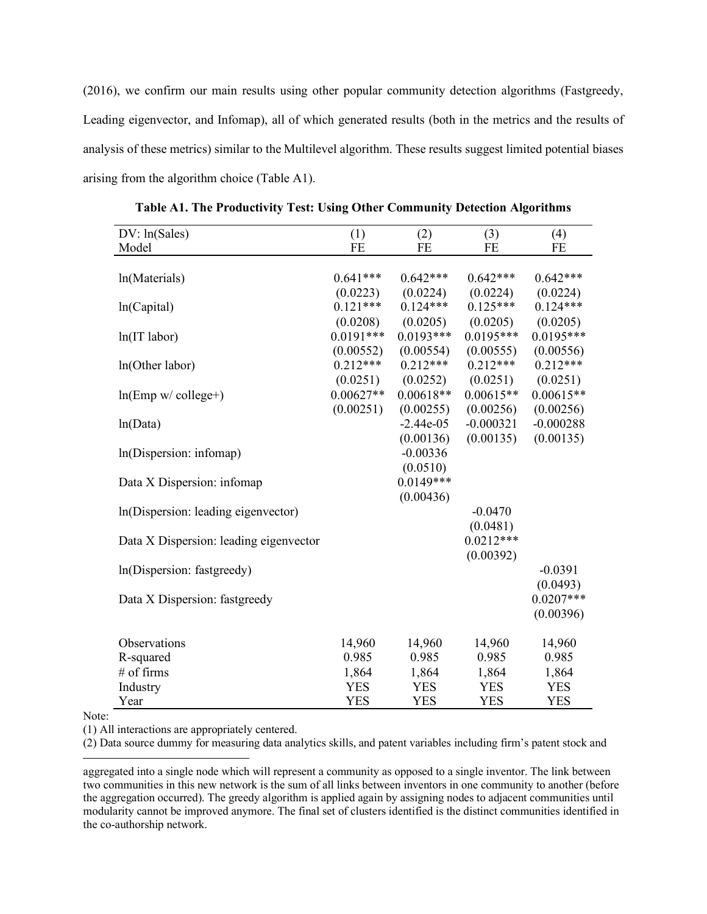(2016), we confirm our main results using other popular community detection algorithms (Fastgreedy, Leading eigenvector, and Infomap), all of which generated results (both in the metrics and the results of analysis of these metrics) similar to the Multilevel algorithm. These results suggest limited potential biases arising from the algorithm choice (Table A1).

| DV: ln(Sales)                          | (1)         | (2)         | (3)         | (4)         |
|----------------------------------------|-------------|-------------|-------------|-------------|
| Model                                  | FE          | FE          | FE          | FE          |
|                                        |             |             |             |             |
| ln(Materials)                          | $0.641***$  | $0.642***$  | $0.642***$  | $0.642***$  |
|                                        | (0.0223)    | (0.0224)    | (0.0224)    | (0.0224)    |
| ln(Capital)                            | $0.121***$  | $0.124***$  | $0.125***$  | $0.124***$  |
|                                        | (0.0208)    | (0.0205)    | (0.0205)    | (0.0205)    |
| $ln(IT$ labor)                         | $0.0191***$ | $0.0193***$ | $0.0195***$ | $0.0195***$ |
|                                        | (0.00552)   | (0.00554)   | (0.00555)   | (0.00556)   |
| In(Other labor)                        | $0.212***$  | $0.212***$  | $0.212***$  | $0.212***$  |
|                                        | (0.0251)    | (0.0252)    | (0.0251)    | (0.0251)    |
| $ln(Emp w / college+)$                 | $0.00627**$ | $0.00618**$ | $0.00615**$ | $0.00615**$ |
|                                        | (0.00251)   | (0.00255)   | (0.00256)   | (0.00256)   |
| ln(Data)                               |             | $-2.44e-05$ | $-0.000321$ | $-0.000288$ |
|                                        |             | (0.00136)   | (0.00135)   | (0.00135)   |
| In(Dispersion: infomap)                |             | $-0.00336$  |             |             |
|                                        |             | (0.0510)    |             |             |
| Data X Dispersion: infomap             |             | $0.0149***$ |             |             |
|                                        |             | (0.00436)   |             |             |
| In (Dispersion: leading eigenvector)   |             |             | $-0.0470$   |             |
|                                        |             |             | (0.0481)    |             |
| Data X Dispersion: leading eigenvector |             |             | $0.0212***$ |             |
|                                        |             |             | (0.00392)   |             |
| In(Dispersion: fastgreedy)             |             |             |             | $-0.0391$   |
|                                        |             |             |             | (0.0493)    |
| Data X Dispersion: fastgreedy          |             |             |             | $0.0207***$ |
|                                        |             |             |             | (0.00396)   |
|                                        |             |             |             |             |
| Observations                           | 14,960      | 14,960      | 14,960      | 14,960      |
| R-squared                              | 0.985       | 0.985       | 0.985       | 0.985       |
| # of firms                             | 1,864       | 1,864       | 1,864       | 1,864       |
| Industry                               | <b>YES</b>  | <b>YES</b>  | <b>YES</b>  | <b>YES</b>  |
| Year                                   | <b>YES</b>  | <b>YES</b>  | <b>YES</b>  | <b>YES</b>  |

**Table A1. The Productivity Test: Using Other Community Detection Algorithms**

Note:

l

(1) All interactions are appropriately centered.

(2) Data source dummy for measuring data analytics skills, and patent variables including firm's patent stock and

aggregated into a single node which will represent a community as opposed to a single inventor. The link between two communities in this new network is the sum of all links between inventors in one community to another (before the aggregation occurred). The greedy algorithm is applied again by assigning nodes to adjacent communities until modularity cannot be improved anymore. The final set of clusters identified is the distinct communities identified in the co-authorship network.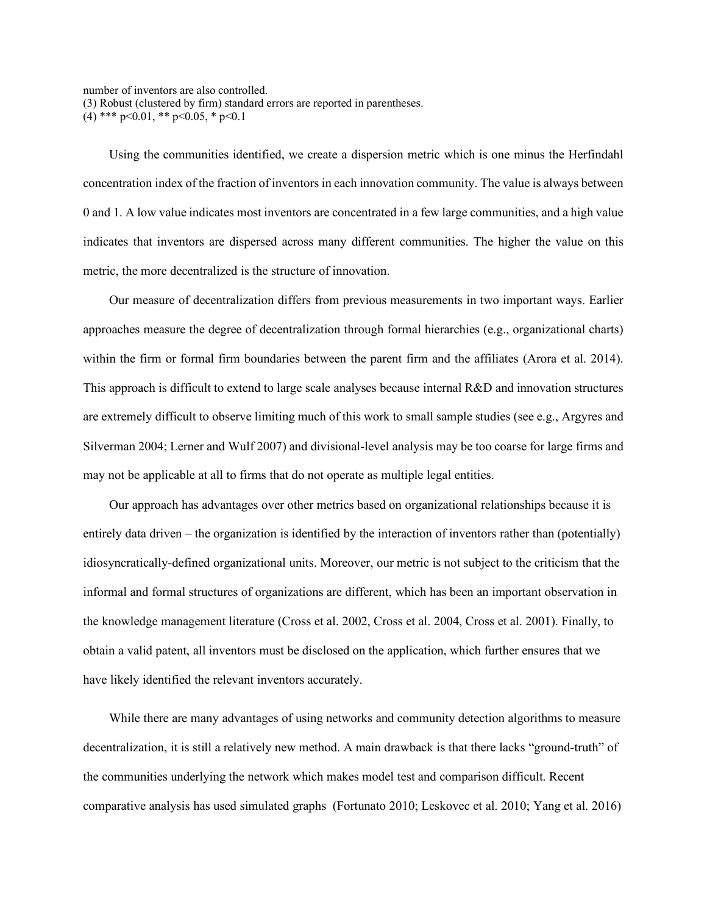number of inventors are also controlled.

(3) Robust (clustered by firm) standard errors are reported in parentheses.

(4) \*\*\*  $p<0.01$ , \*\*  $p<0.05$ , \*  $p<0.1$ 

Using the communities identified, we create a dispersion metric which is one minus the Herfindahl concentration index of the fraction of inventors in each innovation community. The value is always between 0 and 1. A low value indicates most inventors are concentrated in a few large communities, and a high value indicates that inventors are dispersed across many different communities. The higher the value on this metric, the more decentralized is the structure of innovation.

Our measure of decentralization differs from previous measurements in two important ways. Earlier approaches measure the degree of decentralization through formal hierarchies (e.g., organizational charts) within the firm or formal firm boundaries between the parent firm and the affiliates (Arora et al. 2014). This approach is difficult to extend to large scale analyses because internal R&D and innovation structures are extremely difficult to observe limiting much of this work to small sample studies (see e.g., Argyres and Silverman 2004; Lerner and Wulf 2007) and divisional-level analysis may be too coarse for large firms and may not be applicable at all to firms that do not operate as multiple legal entities.

Our approach has advantages over other metrics based on organizational relationships because it is entirely data driven – the organization is identified by the interaction of inventors rather than (potentially) idiosyncratically-defined organizational units. Moreover, our metric is not subject to the criticism that the informal and formal structures of organizations are different, which has been an important observation in the knowledge management literature (Cross et al. 2002, Cross et al. 2004, Cross et al. 2001). Finally, to obtain a valid patent, all inventors must be disclosed on the application, which further ensures that we have likely identified the relevant inventors accurately.

While there are many advantages of using networks and community detection algorithms to measure decentralization, it is still a relatively new method. A main drawback is that there lacks "ground-truth" of the communities underlying the network which makes model test and comparison difficult. Recent comparative analysis has used simulated graphs (Fortunato 2010; Leskovec et al. 2010; Yang et al. 2016)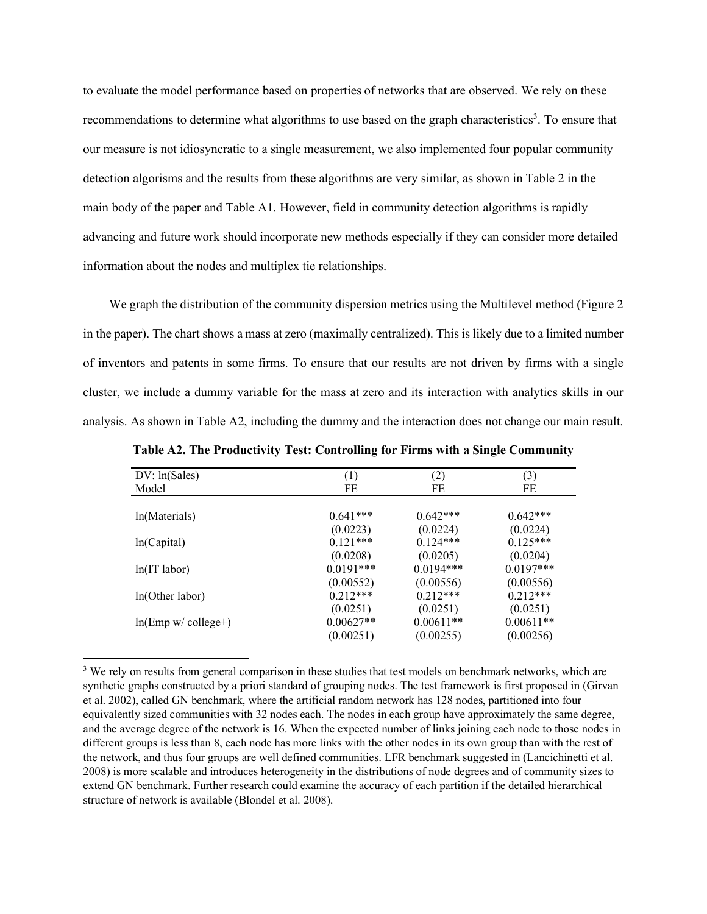to evaluate the model performance based on properties of networks that are observed. We rely on these recommendations to determine what algorithms to use based on the graph characteristics<sup>3</sup>. To ensure that our measure is not idiosyncratic to a single measurement, we also implemented four popular community detection algorisms and the results from these algorithms are very similar, as shown in Table 2 in the main body of the paper and Table A1. However, field in community detection algorithms is rapidly advancing and future work should incorporate new methods especially if they can consider more detailed information about the nodes and multiplex tie relationships.

We graph the distribution of the community dispersion metrics using the Multilevel method (Figure 2 in the paper). The chart shows a mass at zero (maximally centralized). This is likely due to a limited number of inventors and patents in some firms. To ensure that our results are not driven by firms with a single cluster, we include a dummy variable for the mass at zero and its interaction with analytics skills in our analysis. As shown in Table A2, including the dummy and the interaction does not change our main result.

| DV: ln(Sales)          | (1)         | (2)         | (3)         |
|------------------------|-------------|-------------|-------------|
| Model                  | FE          | FE          | FE          |
|                        |             |             |             |
| ln(Materials)          | $0.641***$  | $0.642***$  | $0.642***$  |
|                        | (0.0223)    | (0.0224)    | (0.0224)    |
| ln(Capital)            | $0.121***$  | $0.124***$  | $0.125***$  |
|                        | (0.0208)    | (0.0205)    | (0.0204)    |
| ln(IT labor)           | $0.0191***$ | $0.0194***$ | $0.0197***$ |
|                        | (0.00552)   | (0.00556)   | (0.00556)   |
| ln(Other labor)        | $0.212***$  | $0.212***$  | $0.212***$  |
|                        | (0.0251)    | (0.0251)    | (0.0251)    |
| $ln(Emp w / college+)$ | $0.00627**$ | $0.00611**$ | $0.00611**$ |
|                        | (0.00251)   | (0.00255)   | (0.00256)   |

**Table A2. The Productivity Test: Controlling for Firms with a Single Community**

l

<sup>&</sup>lt;sup>3</sup> We rely on results from general comparison in these studies that test models on benchmark networks, which are synthetic graphs constructed by a priori standard of grouping nodes. The test framework is first proposed in (Girvan et al. 2002), called GN benchmark, where the artificial random network has 128 nodes, partitioned into four equivalently sized communities with 32 nodes each. The nodes in each group have approximately the same degree, and the average degree of the network is 16. When the expected number of links joining each node to those nodes in different groups is less than 8, each node has more links with the other nodes in its own group than with the rest of the network, and thus four groups are well defined communities. LFR benchmark suggested in (Lancichinetti et al. 2008) is more scalable and introduces heterogeneity in the distributions of node degrees and of community sizes to extend GN benchmark. Further research could examine the accuracy of each partition if the detailed hierarchical structure of network is available (Blondel et al. 2008).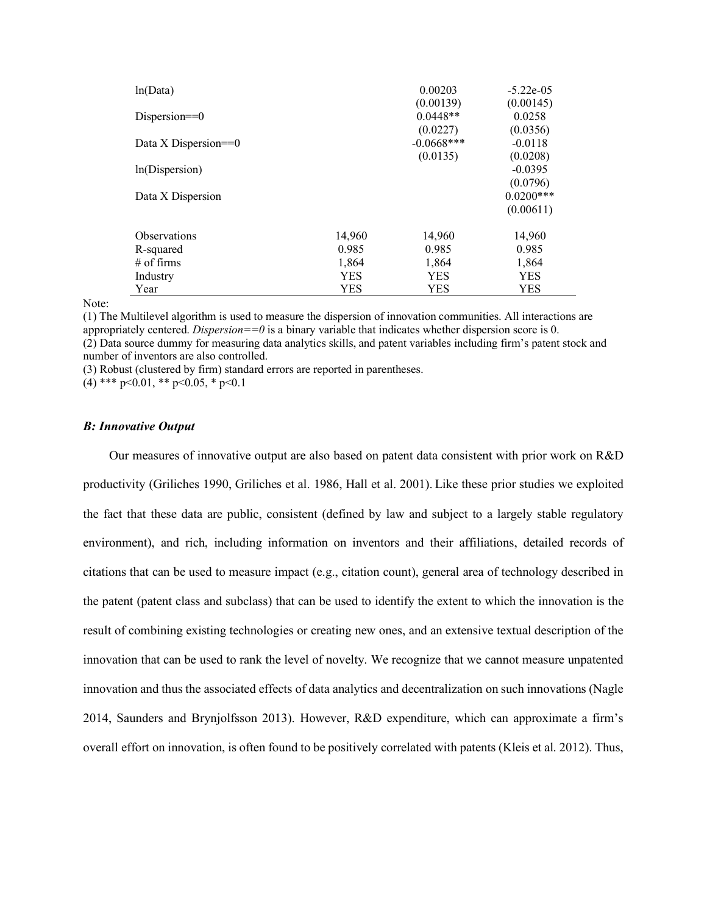| ln(Data)                |            | 0.00203<br>(0.00139)      | $-5.22e-05$<br>(0.00145) |
|-------------------------|------------|---------------------------|--------------------------|
| Dispersion= $=0$        |            | $0.0448**$                | 0.0258                   |
| Data X Dispersion= $=0$ |            | (0.0227)<br>$-0.0668$ *** | (0.0356)<br>$-0.0118$    |
| ln(Dispersion)          |            | (0.0135)                  | (0.0208)<br>$-0.0395$    |
|                         |            |                           | (0.0796)                 |
| Data X Dispersion       |            |                           | $0.0200***$<br>(0.00611) |
|                         |            |                           |                          |
| <b>Observations</b>     | 14,960     | 14,960                    | 14,960                   |
| R-squared               | 0.985      | 0.985                     | 0.985                    |
| $#$ of firms            | 1,864      | 1,864                     | 1,864                    |
| Industry                | <b>YES</b> | <b>YES</b>                | <b>YES</b>               |
| Year                    | YES        | YES                       | YES                      |

Note:

(1) The Multilevel algorithm is used to measure the dispersion of innovation communities. All interactions are appropriately centered. *Dispersion==0* is a binary variable that indicates whether dispersion score is 0. (2) Data source dummy for measuring data analytics skills, and patent variables including firm's patent stock and number of inventors are also controlled.

(3) Robust (clustered by firm) standard errors are reported in parentheses.

(4) \*\*\*  $p<0.01$ , \*\*  $p<0.05$ , \*  $p<0.1$ 

### *B: Innovative Output*

Our measures of innovative output are also based on patent data consistent with prior work on R&D productivity (Griliches 1990, Griliches et al. 1986, Hall et al. 2001). Like these prior studies we exploited the fact that these data are public, consistent (defined by law and subject to a largely stable regulatory environment), and rich, including information on inventors and their affiliations, detailed records of citations that can be used to measure impact (e.g., citation count), general area of technology described in the patent (patent class and subclass) that can be used to identify the extent to which the innovation is the result of combining existing technologies or creating new ones, and an extensive textual description of the innovation that can be used to rank the level of novelty. We recognize that we cannot measure unpatented innovation and thus the associated effects of data analytics and decentralization on such innovations (Nagle 2014, Saunders and Brynjolfsson 2013). However, R&D expenditure, which can approximate a firm's overall effort on innovation, is often found to be positively correlated with patents (Kleis et al. 2012). Thus,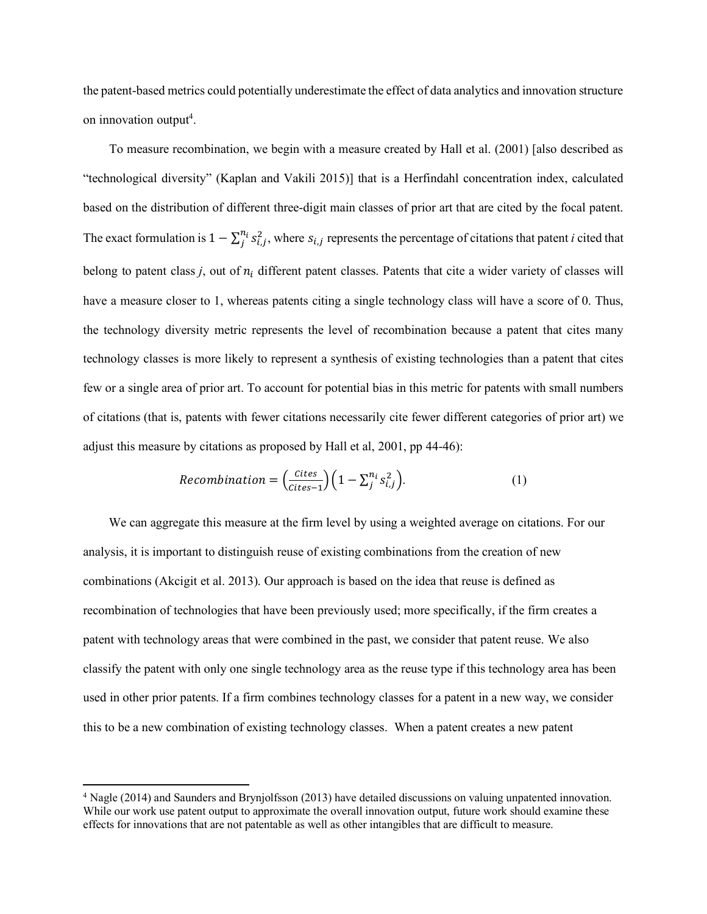the patent-based metrics could potentially underestimate the effect of data analytics and innovation structure on innovation output<sup>4</sup>.

To measure recombination, we begin with a measure created by Hall et al. (2001) [also described as "technological diversity" (Kaplan and Vakili 2015)] that is a Herfindahl concentration index, calculated based on the distribution of different three-digit main classes of prior art that are cited by the focal patent. The exact formulation is  $1 - \sum_j^{n_i} s_{i,j}^2$ , where  $s_{i,j}$  represents the percentage of citations that patent *i* cited that belong to patent class  $j$ , out of  $n_i$  different patent classes. Patents that cite a wider variety of classes will have a measure closer to 1, whereas patents citing a single technology class will have a score of 0. Thus, the technology diversity metric represents the level of recombination because a patent that cites many technology classes is more likely to represent a synthesis of existing technologies than a patent that cites few or a single area of prior art. To account for potential bias in this metric for patents with small numbers of citations (that is, patents with fewer citations necessarily cite fewer different categories of prior art) we adjust this measure by citations as proposed by Hall et al, 2001, pp 44-46):

$$
Recombination = \left(\frac{Cites}{Cites - 1}\right)\left(1 - \sum_{j}^{n_i} s_{i,j}^2\right). \tag{1}
$$

We can aggregate this measure at the firm level by using a weighted average on citations. For our analysis, it is important to distinguish reuse of existing combinations from the creation of new combinations (Akcigit et al. 2013). Our approach is based on the idea that reuse is defined as recombination of technologies that have been previously used; more specifically, if the firm creates a patent with technology areas that were combined in the past, we consider that patent reuse. We also classify the patent with only one single technology area as the reuse type if this technology area has been used in other prior patents. If a firm combines technology classes for a patent in a new way, we consider this to be a new combination of existing technology classes. When a patent creates a new patent

 $\overline{\phantom{a}}$ 

<sup>4</sup> Nagle (2014) and Saunders and Brynjolfsson (2013) have detailed discussions on valuing unpatented innovation. While our work use patent output to approximate the overall innovation output, future work should examine these effects for innovations that are not patentable as well as other intangibles that are difficult to measure.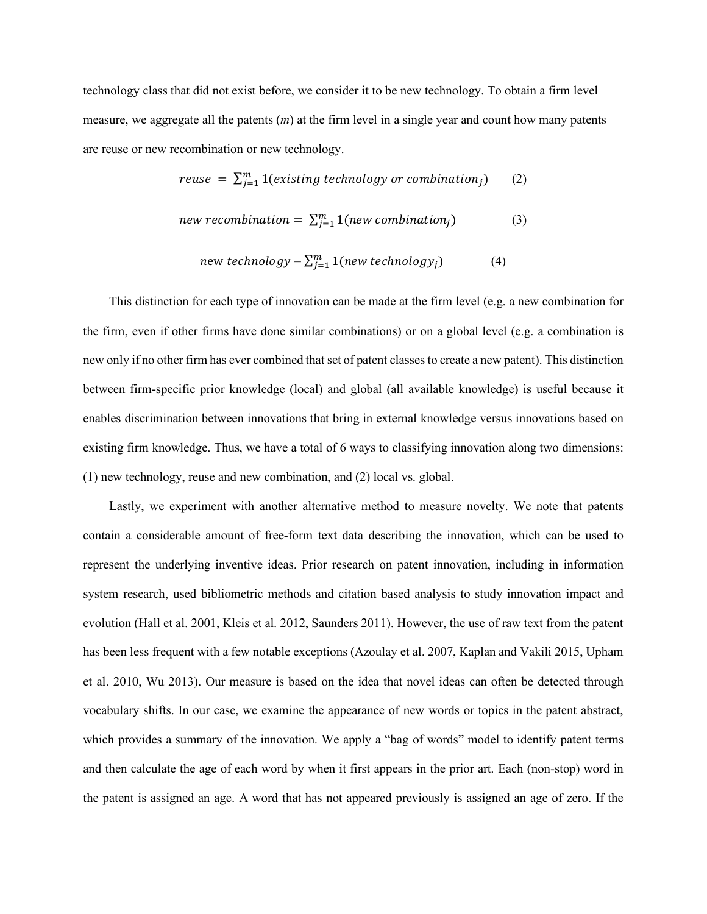technology class that did not exist before, we consider it to be new technology. To obtain a firm level measure, we aggregate all the patents (*m*) at the firm level in a single year and count how many patents are reuse or new recombination or new technology.

$$
reuse = \sum_{j=1}^{m} 1(existing technology or combination_j)
$$
 (2)

$$
new recombination = \sum_{j=1}^{m} 1(new combination_j)
$$
 (3)

$$
new technology = \sum_{j=1}^{m} 1(new technology_j)
$$
 (4)

This distinction for each type of innovation can be made at the firm level (e.g. a new combination for the firm, even if other firms have done similar combinations) or on a global level (e.g. a combination is new only if no other firm has ever combined that set of patent classes to create a new patent). This distinction between firm-specific prior knowledge (local) and global (all available knowledge) is useful because it enables discrimination between innovations that bring in external knowledge versus innovations based on existing firm knowledge. Thus, we have a total of 6 ways to classifying innovation along two dimensions: (1) new technology, reuse and new combination, and (2) local vs. global.

Lastly, we experiment with another alternative method to measure novelty. We note that patents contain a considerable amount of free-form text data describing the innovation, which can be used to represent the underlying inventive ideas. Prior research on patent innovation, including in information system research, used bibliometric methods and citation based analysis to study innovation impact and evolution (Hall et al. 2001, Kleis et al. 2012, Saunders 2011). However, the use of raw text from the patent has been less frequent with a few notable exceptions (Azoulay et al. 2007, Kaplan and Vakili 2015, Upham et al. 2010, Wu 2013). Our measure is based on the idea that novel ideas can often be detected through vocabulary shifts. In our case, we examine the appearance of new words or topics in the patent abstract, which provides a summary of the innovation. We apply a "bag of words" model to identify patent terms and then calculate the age of each word by when it first appears in the prior art. Each (non-stop) word in the patent is assigned an age. A word that has not appeared previously is assigned an age of zero. If the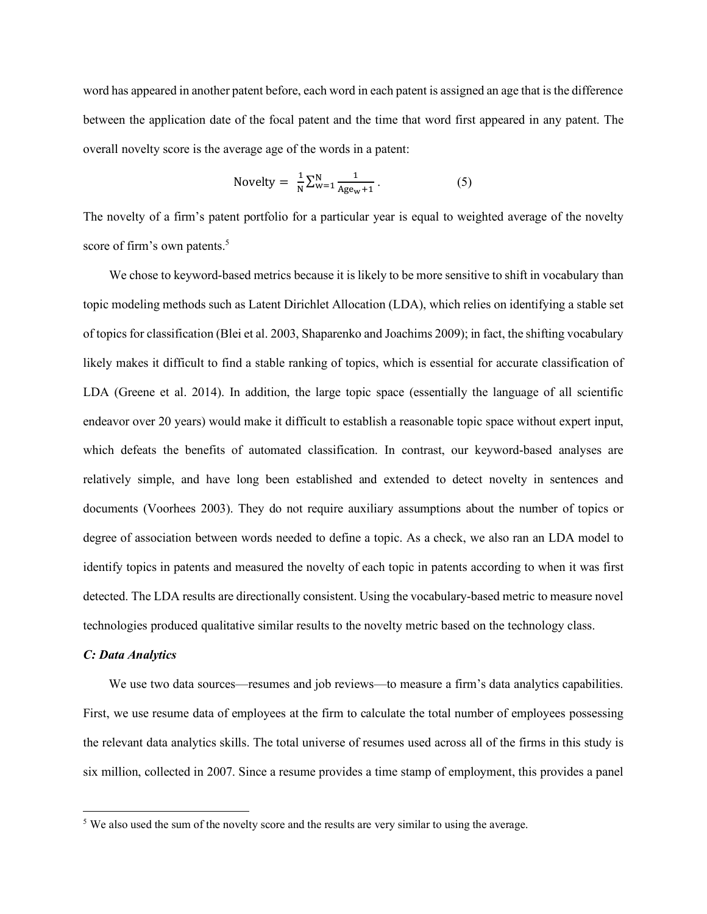word has appeared in another patent before, each word in each patent is assigned an age that is the difference between the application date of the focal patent and the time that word first appeared in any patent. The overall novelty score is the average age of the words in a patent:

$$
Novelly = \frac{1}{N} \sum_{w=1}^{N} \frac{1}{Age_w + 1}.
$$
 (5)

The novelty of a firm's patent portfolio for a particular year is equal to weighted average of the novelty score of firm's own patents.<sup>5</sup>

We chose to keyword-based metrics because it is likely to be more sensitive to shift in vocabulary than topic modeling methods such as Latent Dirichlet Allocation (LDA), which relies on identifying a stable set of topics for classification (Blei et al. 2003, Shaparenko and Joachims 2009); in fact, the shifting vocabulary likely makes it difficult to find a stable ranking of topics, which is essential for accurate classification of LDA (Greene et al. 2014). In addition, the large topic space (essentially the language of all scientific endeavor over 20 years) would make it difficult to establish a reasonable topic space without expert input, which defeats the benefits of automated classification. In contrast, our keyword-based analyses are relatively simple, and have long been established and extended to detect novelty in sentences and documents (Voorhees 2003). They do not require auxiliary assumptions about the number of topics or degree of association between words needed to define a topic. As a check, we also ran an LDA model to identify topics in patents and measured the novelty of each topic in patents according to when it was first detected. The LDA results are directionally consistent. Using the vocabulary-based metric to measure novel technologies produced qualitative similar results to the novelty metric based on the technology class.

#### *C: Data Analytics*

l

We use two data sources—resumes and job reviews—to measure a firm's data analytics capabilities. First, we use resume data of employees at the firm to calculate the total number of employees possessing the relevant data analytics skills. The total universe of resumes used across all of the firms in this study is six million, collected in 2007. Since a resume provides a time stamp of employment, this provides a panel

<sup>&</sup>lt;sup>5</sup> We also used the sum of the novelty score and the results are very similar to using the average.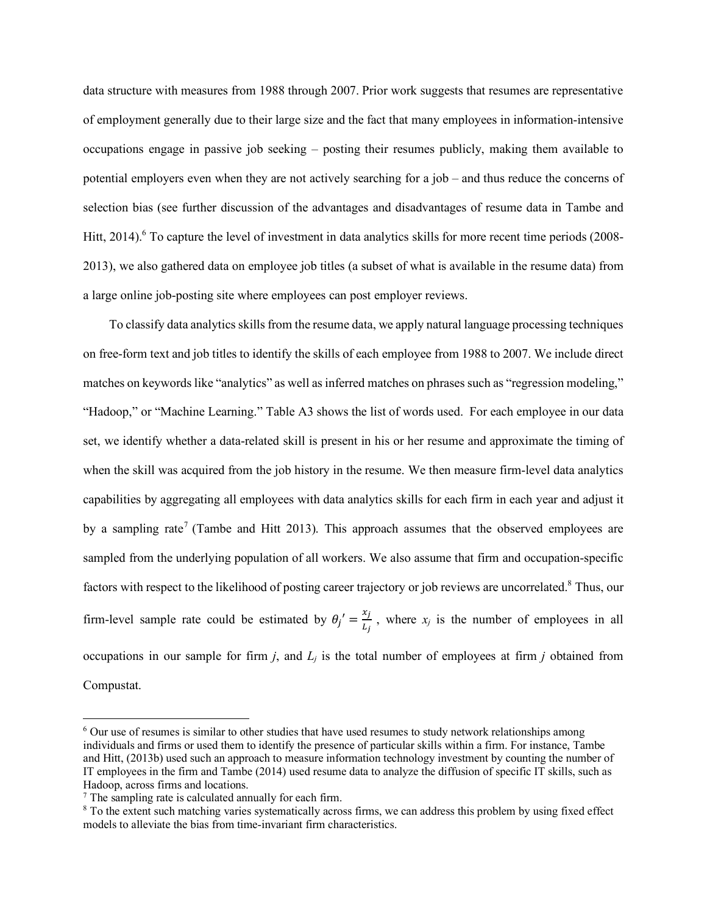data structure with measures from 1988 through 2007. Prior work suggests that resumes are representative of employment generally due to their large size and the fact that many employees in information-intensive occupations engage in passive job seeking – posting their resumes publicly, making them available to potential employers even when they are not actively searching for a job – and thus reduce the concerns of selection bias (see further discussion of the advantages and disadvantages of resume data in Tambe and Hitt, 2014).<sup>6</sup> To capture the level of investment in data analytics skills for more recent time periods (2008-2013), we also gathered data on employee job titles (a subset of what is available in the resume data) from a large online job-posting site where employees can post employer reviews.

To classify data analytics skills from the resume data, we apply natural language processing techniques on free-form text and job titles to identify the skills of each employee from 1988 to 2007. We include direct matches on keywords like "analytics" as well as inferred matches on phrases such as "regression modeling," "Hadoop," or "Machine Learning." Table A3 shows the list of words used. For each employee in our data set, we identify whether a data-related skill is present in his or her resume and approximate the timing of when the skill was acquired from the job history in the resume. We then measure firm-level data analytics capabilities by aggregating all employees with data analytics skills for each firm in each year and adjust it by a sampling rate<sup>7</sup> (Tambe and Hitt 2013). This approach assumes that the observed employees are sampled from the underlying population of all workers. We also assume that firm and occupation-specific factors with respect to the likelihood of posting career trajectory or job reviews are uncorrelated.<sup>8</sup> Thus, our firm-level sample rate could be estimated by  $\theta_j' = \frac{x_j}{L_j}$ , where  $x_j$  is the number of employees in all occupations in our sample for firm  $j$ , and  $L_j$  is the total number of employees at firm  $j$  obtained from Compustat.

 $\overline{\phantom{a}}$ 

<sup>6</sup> Our use of resumes is similar to other studies that have used resumes to study network relationships among individuals and firms or used them to identify the presence of particular skills within a firm. For instance, Tambe and Hitt, (2013b) used such an approach to measure information technology investment by counting the number of IT employees in the firm and Tambe (2014) used resume data to analyze the diffusion of specific IT skills, such as Hadoop, across firms and locations.

 $<sup>7</sup>$  The sampling rate is calculated annually for each firm.</sup>

<sup>&</sup>lt;sup>8</sup> To the extent such matching varies systematically across firms, we can address this problem by using fixed effect models to alleviate the bias from time-invariant firm characteristics.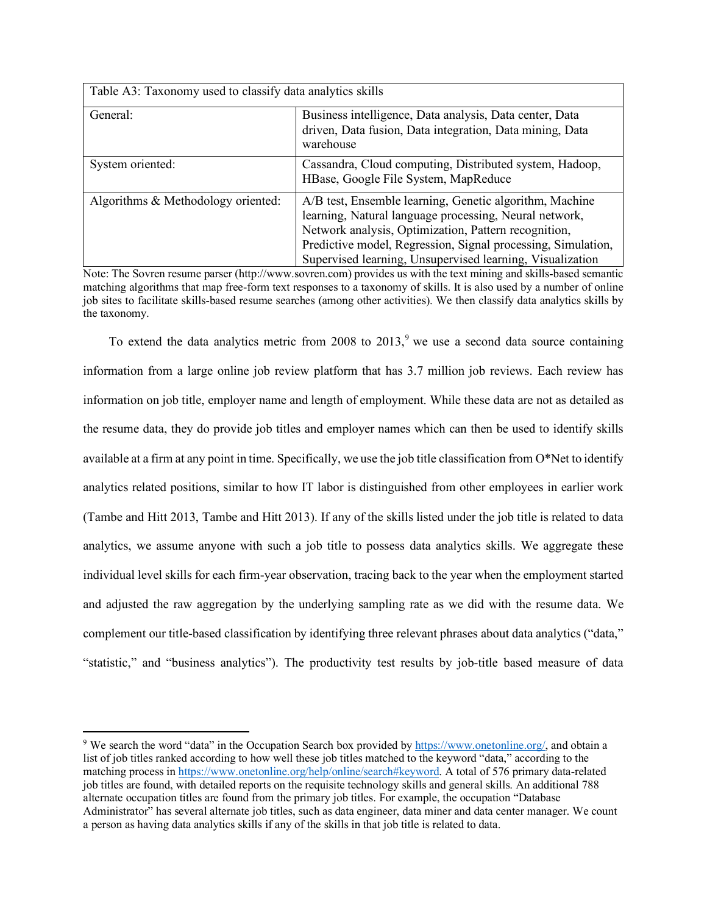| Table A3: Taxonomy used to classify data analytics skills |                                                                                                                                                                                                                                                                                                        |  |  |  |  |
|-----------------------------------------------------------|--------------------------------------------------------------------------------------------------------------------------------------------------------------------------------------------------------------------------------------------------------------------------------------------------------|--|--|--|--|
| General:                                                  | Business intelligence, Data analysis, Data center, Data<br>driven, Data fusion, Data integration, Data mining, Data<br>warehouse                                                                                                                                                                       |  |  |  |  |
| System oriented:                                          | Cassandra, Cloud computing, Distributed system, Hadoop,<br>HBase, Google File System, MapReduce                                                                                                                                                                                                        |  |  |  |  |
| Algorithms & Methodology oriented:                        | A/B test, Ensemble learning, Genetic algorithm, Machine<br>learning, Natural language processing, Neural network,<br>Network analysis, Optimization, Pattern recognition,<br>Predictive model, Regression, Signal processing, Simulation,<br>Supervised learning, Unsupervised learning, Visualization |  |  |  |  |

Note: The Sovren resume parser (http://www.sovren.com) provides us with the text mining and skills-based semantic matching algorithms that map free-form text responses to a taxonomy of skills. It is also used by a number of online job sites to facilitate skills-based resume searches (among other activities). We then classify data analytics skills by the taxonomy.

To extend the data analytics metric from 2008 to  $2013$ , we use a second data source containing information from a large online job review platform that has 3.7 million job reviews. Each review has information on job title, employer name and length of employment. While these data are not as detailed as the resume data, they do provide job titles and employer names which can then be used to identify skills available at a firm at any point in time. Specifically, we use the job title classification from O\*Net to identify analytics related positions, similar to how IT labor is distinguished from other employees in earlier work (Tambe and Hitt 2013, Tambe and Hitt 2013). If any of the skills listed under the job title is related to data analytics, we assume anyone with such a job title to possess data analytics skills. We aggregate these individual level skills for each firm-year observation, tracing back to the year when the employment started and adjusted the raw aggregation by the underlying sampling rate as we did with the resume data. We complement our title-based classification by identifying three relevant phrases about data analytics ("data," "statistic," and "business analytics"). The productivity test results by job-title based measure of data

l

<sup>9</sup> We search the word "data" in the Occupation Search box provided by https://www.onetonline.org/, and obtain a list of job titles ranked according to how well these job titles matched to the keyword "data," according to the matching process in https://www.onetonline.org/help/online/search#keyword. A total of 576 primary data-related job titles are found, with detailed reports on the requisite technology skills and general skills. An additional 788 alternate occupation titles are found from the primary job titles. For example, the occupation "Database Administrator" has several alternate job titles, such as data engineer, data miner and data center manager. We count a person as having data analytics skills if any of the skills in that job title is related to data.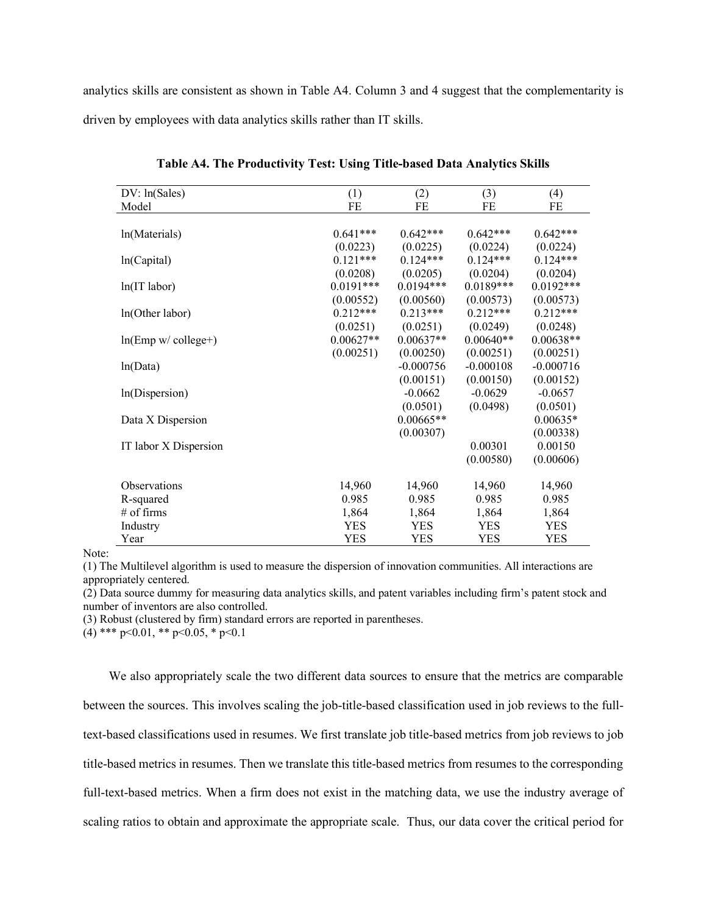analytics skills are consistent as shown in Table A4. Column 3 and 4 suggest that the complementarity is driven by employees with data analytics skills rather than IT skills.

| DV: ln(Sales)          | (1)<br>(2)  |             | (3)         | (4)         |
|------------------------|-------------|-------------|-------------|-------------|
| Model                  | FE          | FE          |             | FE          |
|                        |             |             |             |             |
| ln(Materials)          | $0.641***$  | $0.642***$  | $0.642***$  | $0.642***$  |
|                        | (0.0223)    | (0.0225)    | (0.0224)    | (0.0224)    |
| ln(Capital)            | $0.121***$  | $0.124***$  | $0.124***$  | $0.124***$  |
|                        | (0.0208)    | (0.0205)    | (0.0204)    | (0.0204)    |
| $ln(IT$ labor)         | $0.0191***$ | $0.0194***$ | $0.0189***$ | $0.0192***$ |
|                        | (0.00552)   | (0.00560)   | (0.00573)   | (0.00573)   |
| ln(Other labor)        | $0.212***$  | $0.213***$  | $0.212***$  | $0.212***$  |
|                        | (0.0251)    | (0.0251)    | (0.0249)    | (0.0248)    |
| $ln(Emp w / college+)$ | $0.00627**$ | $0.00637**$ | $0.00640**$ | $0.00638**$ |
|                        | (0.00251)   | (0.00250)   | (0.00251)   | (0.00251)   |
| ln(Data)               |             | $-0.000756$ | $-0.000108$ | $-0.000716$ |
|                        |             | (0.00151)   | (0.00150)   | (0.00152)   |
| ln(Dispersion)         |             | $-0.0662$   | $-0.0629$   | $-0.0657$   |
|                        |             | (0.0501)    | (0.0498)    | (0.0501)    |
| Data X Dispersion      |             | $0.00665**$ |             | $0.00635*$  |
|                        |             | (0.00307)   |             | (0.00338)   |
| IT labor X Dispersion  |             |             | 0.00301     | 0.00150     |
|                        |             |             | (0.00580)   | (0.00606)   |
|                        |             |             |             |             |
| Observations           | 14,960      | 14,960      | 14,960      | 14,960      |
| R-squared              | 0.985       | 0.985       | 0.985       | 0.985       |
| # of firms             | 1,864       | 1,864       | 1,864       | 1,864       |
| Industry               | <b>YES</b>  | YES         | <b>YES</b>  | <b>YES</b>  |
| Year                   | YES         | YES         | YES         | YES         |

**Table A4. The Productivity Test: Using Title-based Data Analytics Skills** 

Note:

(1) The Multilevel algorithm is used to measure the dispersion of innovation communities. All interactions are appropriately centered.

(2) Data source dummy for measuring data analytics skills, and patent variables including firm's patent stock and number of inventors are also controlled.

(3) Robust (clustered by firm) standard errors are reported in parentheses.

 $(4)$  \*\*\* p<0.01, \*\* p<0.05, \* p<0.1

We also appropriately scale the two different data sources to ensure that the metrics are comparable between the sources. This involves scaling the job-title-based classification used in job reviews to the fulltext-based classifications used in resumes. We first translate job title-based metrics from job reviews to job title-based metrics in resumes. Then we translate this title-based metrics from resumes to the corresponding full-text-based metrics. When a firm does not exist in the matching data, we use the industry average of scaling ratios to obtain and approximate the appropriate scale. Thus, our data cover the critical period for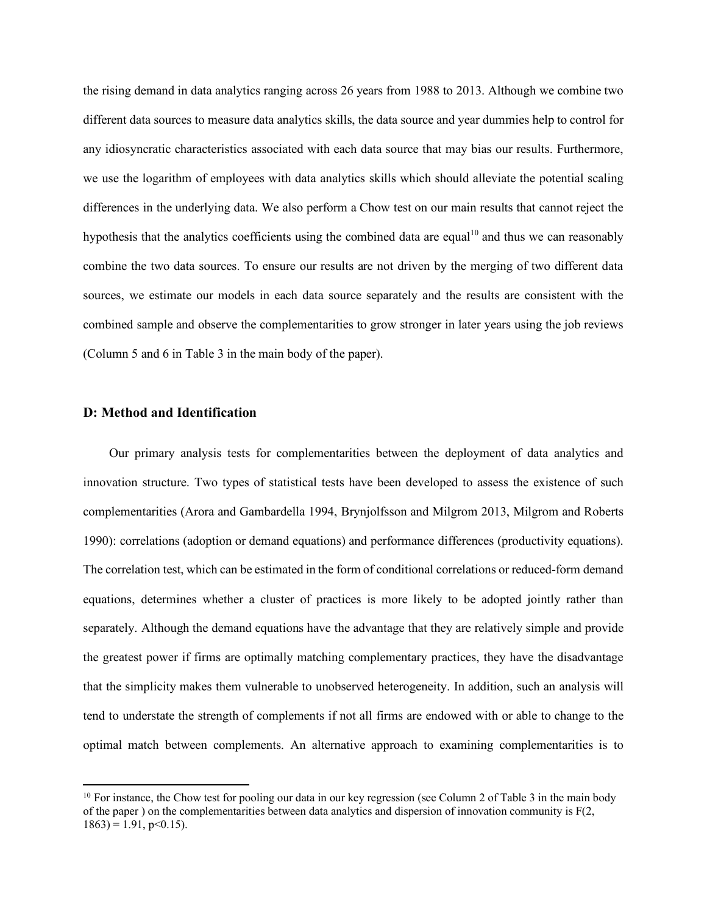the rising demand in data analytics ranging across 26 years from 1988 to 2013. Although we combine two different data sources to measure data analytics skills, the data source and year dummies help to control for any idiosyncratic characteristics associated with each data source that may bias our results. Furthermore, we use the logarithm of employees with data analytics skills which should alleviate the potential scaling differences in the underlying data. We also perform a Chow test on our main results that cannot reject the hypothesis that the analytics coefficients using the combined data are equal<sup>10</sup> and thus we can reasonably combine the two data sources. To ensure our results are not driven by the merging of two different data sources, we estimate our models in each data source separately and the results are consistent with the combined sample and observe the complementarities to grow stronger in later years using the job reviews (Column 5 and 6 in Table 3 in the main body of the paper).

## **D: Method and Identification**

 $\overline{\phantom{a}}$ 

Our primary analysis tests for complementarities between the deployment of data analytics and innovation structure. Two types of statistical tests have been developed to assess the existence of such complementarities (Arora and Gambardella 1994, Brynjolfsson and Milgrom 2013, Milgrom and Roberts 1990): correlations (adoption or demand equations) and performance differences (productivity equations). The correlation test, which can be estimated in the form of conditional correlations or reduced-form demand equations, determines whether a cluster of practices is more likely to be adopted jointly rather than separately. Although the demand equations have the advantage that they are relatively simple and provide the greatest power if firms are optimally matching complementary practices, they have the disadvantage that the simplicity makes them vulnerable to unobserved heterogeneity. In addition, such an analysis will tend to understate the strength of complements if not all firms are endowed with or able to change to the optimal match between complements. An alternative approach to examining complementarities is to

 $10$  For instance, the Chow test for pooling our data in our key regression (see Column 2 of Table 3 in the main body of the paper ) on the complementarities between data analytics and dispersion of innovation community is  $F(2)$ ,  $1863$ ) = 1.91, p < 0.15).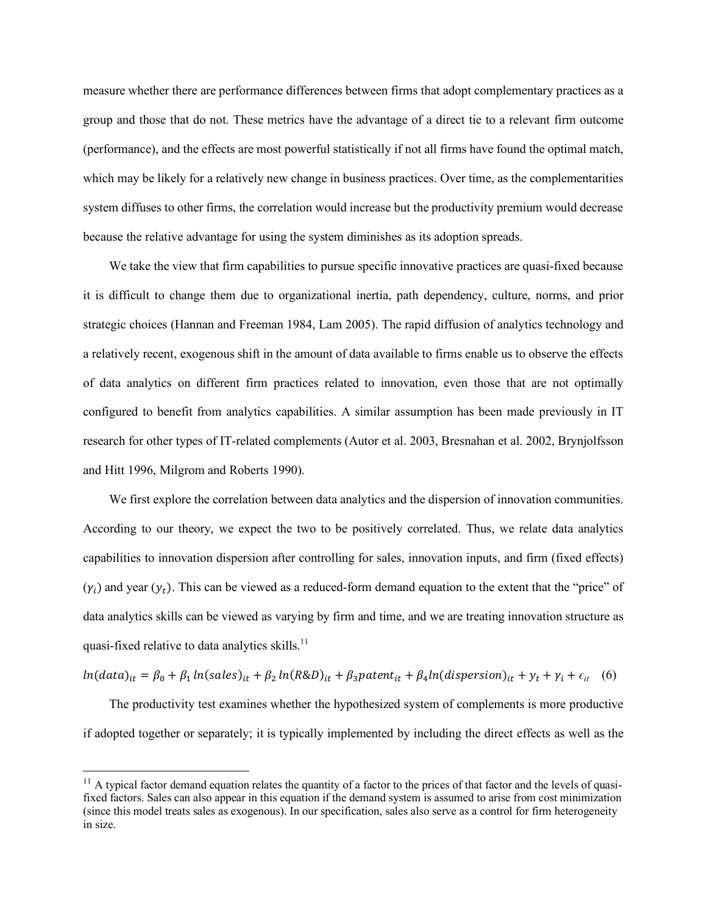measure whether there are performance differences between firms that adopt complementary practices as a group and those that do not. These metrics have the advantage of a direct tie to a relevant firm outcome (performance), and the effects are most powerful statistically if not all firms have found the optimal match, which may be likely for a relatively new change in business practices. Over time, as the complementarities system diffuses to other firms, the correlation would increase but the productivity premium would decrease because the relative advantage for using the system diminishes as its adoption spreads.

We take the view that firm capabilities to pursue specific innovative practices are quasi-fixed because it is difficult to change them due to organizational inertia, path dependency, culture, norms, and prior strategic choices (Hannan and Freeman 1984, Lam 2005). The rapid diffusion of analytics technology and a relatively recent, exogenous shift in the amount of data available to firms enable us to observe the effects of data analytics on different firm practices related to innovation, even those that are not optimally configured to benefit from analytics capabilities. A similar assumption has been made previously in IT research for other types of IT-related complements (Autor et al. 2003, Bresnahan et al. 2002, Brynjolfsson and Hitt 1996, Milgrom and Roberts 1990).

We first explore the correlation between data analytics and the dispersion of innovation communities. According to our theory, we expect the two to be positively correlated. Thus, we relate data analytics capabilities to innovation dispersion after controlling for sales, innovation inputs, and firm (fixed effects)  $(y_i)$  and year  $(y_t)$ . This can be viewed as a reduced-form demand equation to the extent that the "price" of data analytics skills can be viewed as varying by firm and time, and we are treating innovation structure as quasi-fixed relative to data analytics skills.<sup>11</sup>

 $ln(data)_{it} = \beta_0 + \beta_1 ln(sales)_{it} + \beta_2 ln(R&D)_{it} + \beta_3 patent_{it} + \beta_4 ln(dispersion)_{it} + y_t + \gamma_i + \epsilon_{it}$  (6)

The productivity test examines whether the hypothesized system of complements is more productive if adopted together or separately; it is typically implemented by including the direct effects as well as the

 $\overline{\phantom{a}}$ 

 $11$  A typical factor demand equation relates the quantity of a factor to the prices of that factor and the levels of quasifixed factors. Sales can also appear in this equation if the demand system is assumed to arise from cost minimization (since this model treats sales as exogenous). In our specification, sales also serve as a control for firm heterogeneity in size.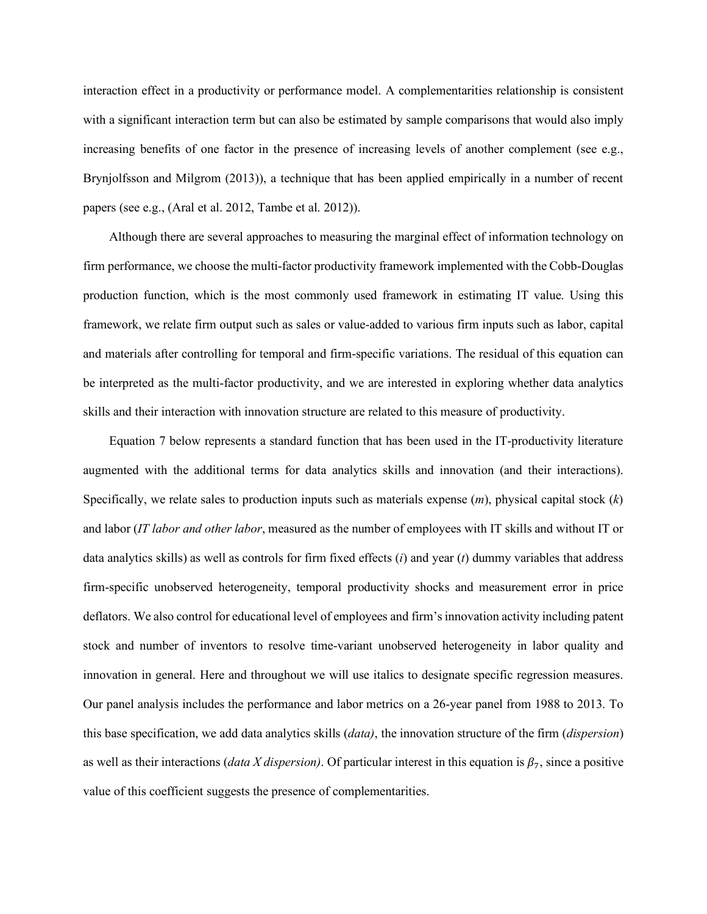interaction effect in a productivity or performance model. A complementarities relationship is consistent with a significant interaction term but can also be estimated by sample comparisons that would also imply increasing benefits of one factor in the presence of increasing levels of another complement (see e.g., Brynjolfsson and Milgrom (2013)), a technique that has been applied empirically in a number of recent papers (see e.g., (Aral et al. 2012, Tambe et al. 2012)).

Although there are several approaches to measuring the marginal effect of information technology on firm performance, we choose the multi-factor productivity framework implemented with the Cobb-Douglas production function, which is the most commonly used framework in estimating IT value. Using this framework, we relate firm output such as sales or value-added to various firm inputs such as labor, capital and materials after controlling for temporal and firm-specific variations. The residual of this equation can be interpreted as the multi-factor productivity, and we are interested in exploring whether data analytics skills and their interaction with innovation structure are related to this measure of productivity.

Equation 7 below represents a standard function that has been used in the IT-productivity literature augmented with the additional terms for data analytics skills and innovation (and their interactions). Specifically, we relate sales to production inputs such as materials expense (*m*), physical capital stock (*k*) and labor (*IT labor and other labor*, measured as the number of employees with IT skills and without IT or data analytics skills) as well as controls for firm fixed effects (*i*) and year (*t*) dummy variables that address firm-specific unobserved heterogeneity, temporal productivity shocks and measurement error in price deflators. We also control for educational level of employees and firm's innovation activity including patent stock and number of inventors to resolve time-variant unobserved heterogeneity in labor quality and innovation in general. Here and throughout we will use italics to designate specific regression measures. Our panel analysis includes the performance and labor metrics on a 26-year panel from 1988 to 2013. To this base specification, we add data analytics skills (*data)*, the innovation structure of the firm (*dispersion*) as well as their interactions (*data X dispersion*). Of particular interest in this equation is  $\beta_7$ , since a positive value of this coefficient suggests the presence of complementarities.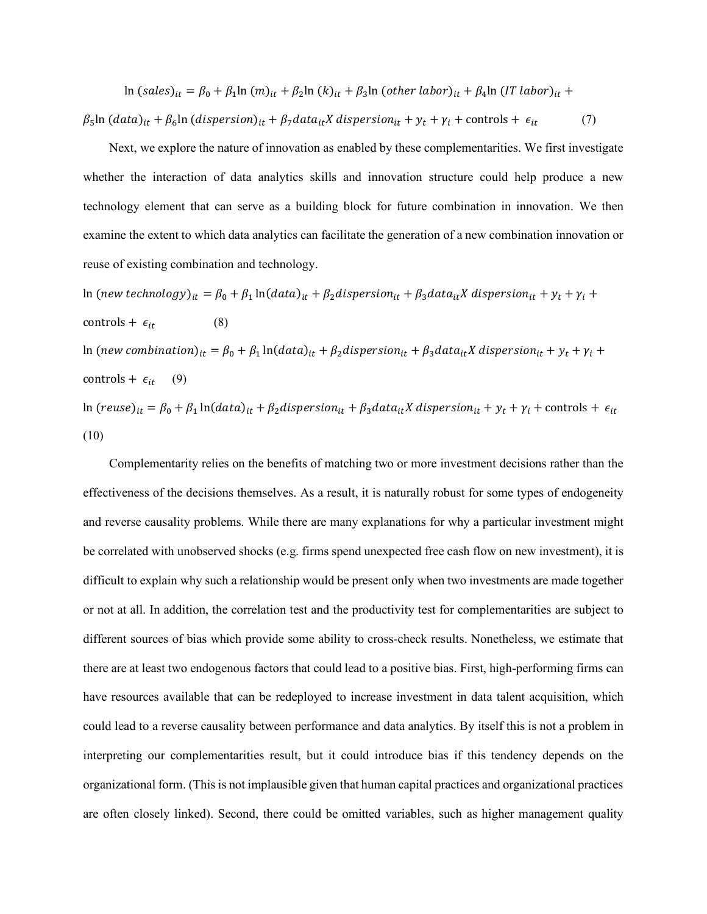ln (sales)<sub>it</sub> =  $\beta_0 + \beta_1 \ln(m)_{it} + \beta_2 \ln(k)_{it} + \beta_3 \ln(\text{other labor})_{it} + \beta_4 \ln(\text{IT labor})_{it} +$  $\beta_5$ ln (data)<sub>it</sub> +  $\beta_6$ ln (dispersion)<sub>it</sub> +  $\beta_7$ data<sub>it</sub>X dispersion<sub>it</sub> +  $y_t$  +  $\gamma_i$  + controls +  $\epsilon_{it}$  (7)

Next, we explore the nature of innovation as enabled by these complementarities. We first investigate whether the interaction of data analytics skills and innovation structure could help produce a new technology element that can serve as a building block for future combination in innovation. We then examine the extent to which data analytics can facilitate the generation of a new combination innovation or reuse of existing combination and technology.

ln (new technology)<sub>it</sub> =  $\beta_0 + \beta_1 \ln(data)_{it} + \beta_2 dispersion_{it} + \beta_3 data_{it}X$  dispersion<sub>it</sub> +  $y_t + \gamma_i$  + controls +  $\epsilon_{it}$  (8) ln (new combination)<sub>it</sub> =  $\beta_0 + \beta_1 \ln(data)_{it} + \beta_2 dispersion_{it} + \beta_3 data_{it}X$  dispersion<sub>it</sub> +  $y_t$  +  $\gamma_i$  + controls +  $\epsilon_{it}$  (9) ln (reuse)<sub>it</sub> =  $\beta_0 + \beta_1 \ln(data)_{it} + \beta_2 dispersion_{it} + \beta_3 data_{it}X$  dispersion<sub>it</sub> +  $y_t + \gamma_i$  + controls +  $\epsilon_{it}$ (10)

Complementarity relies on the benefits of matching two or more investment decisions rather than the effectiveness of the decisions themselves. As a result, it is naturally robust for some types of endogeneity and reverse causality problems. While there are many explanations for why a particular investment might be correlated with unobserved shocks (e.g. firms spend unexpected free cash flow on new investment), it is difficult to explain why such a relationship would be present only when two investments are made together or not at all. In addition, the correlation test and the productivity test for complementarities are subject to different sources of bias which provide some ability to cross-check results. Nonetheless, we estimate that there are at least two endogenous factors that could lead to a positive bias. First, high-performing firms can have resources available that can be redeployed to increase investment in data talent acquisition, which could lead to a reverse causality between performance and data analytics. By itself this is not a problem in interpreting our complementarities result, but it could introduce bias if this tendency depends on the organizational form. (This is not implausible given that human capital practices and organizational practices are often closely linked). Second, there could be omitted variables, such as higher management quality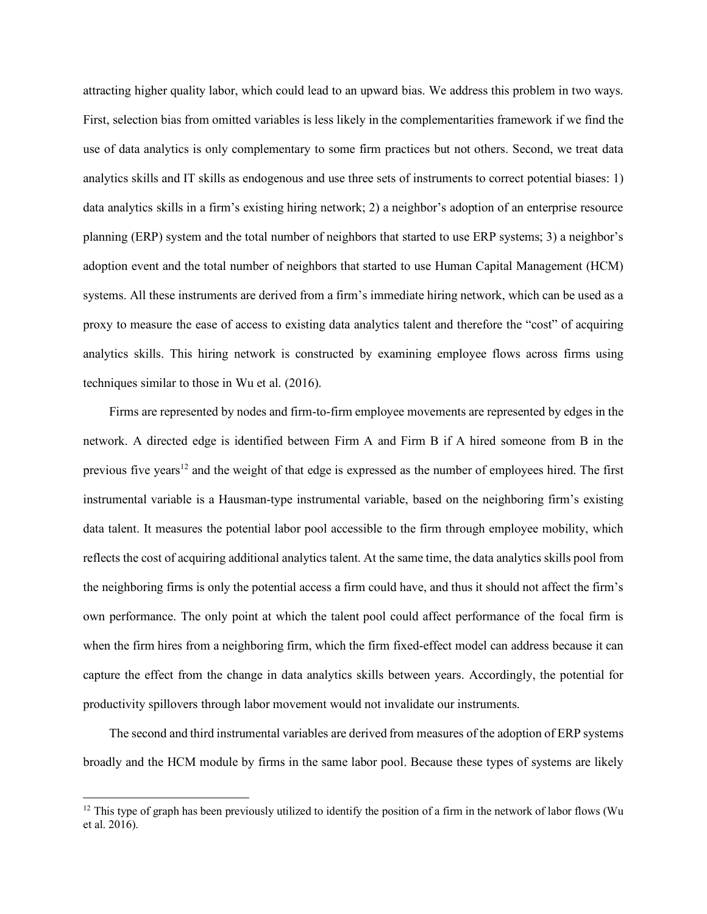attracting higher quality labor, which could lead to an upward bias. We address this problem in two ways. First, selection bias from omitted variables is less likely in the complementarities framework if we find the use of data analytics is only complementary to some firm practices but not others. Second, we treat data analytics skills and IT skills as endogenous and use three sets of instruments to correct potential biases: 1) data analytics skills in a firm's existing hiring network; 2) a neighbor's adoption of an enterprise resource planning (ERP) system and the total number of neighbors that started to use ERP systems; 3) a neighbor's adoption event and the total number of neighbors that started to use Human Capital Management (HCM) systems. All these instruments are derived from a firm's immediate hiring network, which can be used as a proxy to measure the ease of access to existing data analytics talent and therefore the "cost" of acquiring analytics skills. This hiring network is constructed by examining employee flows across firms using techniques similar to those in Wu et al. (2016).

Firms are represented by nodes and firm-to-firm employee movements are represented by edges in the network. A directed edge is identified between Firm A and Firm B if A hired someone from B in the previous five years<sup>12</sup> and the weight of that edge is expressed as the number of employees hired. The first instrumental variable is a Hausman-type instrumental variable, based on the neighboring firm's existing data talent. It measures the potential labor pool accessible to the firm through employee mobility, which reflects the cost of acquiring additional analytics talent. At the same time, the data analytics skills pool from the neighboring firms is only the potential access a firm could have, and thus it should not affect the firm's own performance. The only point at which the talent pool could affect performance of the focal firm is when the firm hires from a neighboring firm, which the firm fixed-effect model can address because it can capture the effect from the change in data analytics skills between years. Accordingly, the potential for productivity spillovers through labor movement would not invalidate our instruments.

The second and third instrumental variables are derived from measures of the adoption of ERP systems broadly and the HCM module by firms in the same labor pool. Because these types of systems are likely

l

 $12$  This type of graph has been previously utilized to identify the position of a firm in the network of labor flows (Wu et al. 2016).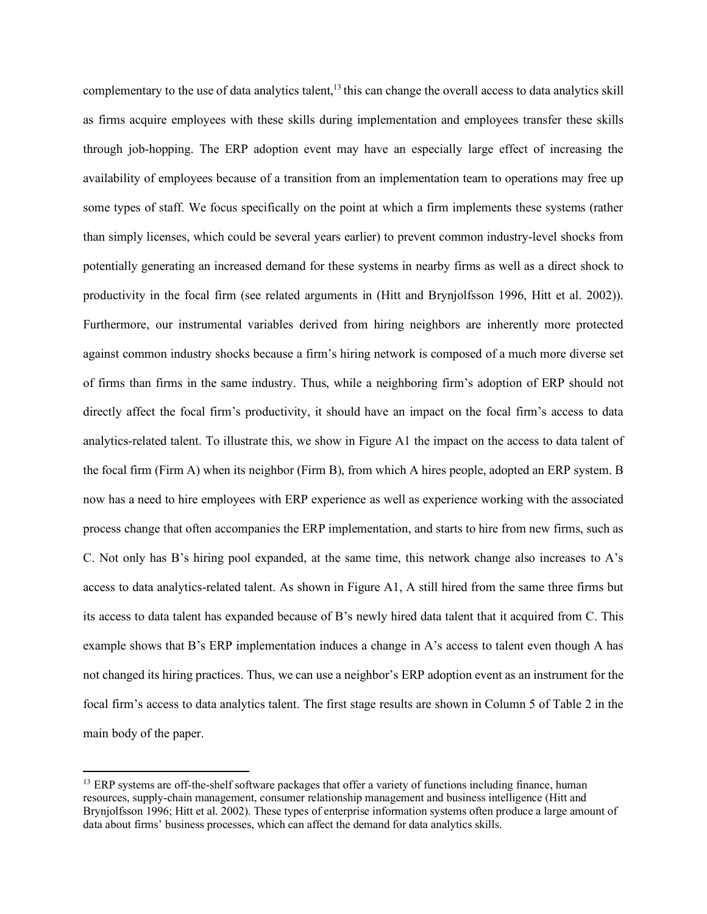complementary to the use of data analytics talent, $^{13}$  this can change the overall access to data analytics skill as firms acquire employees with these skills during implementation and employees transfer these skills through job-hopping. The ERP adoption event may have an especially large effect of increasing the availability of employees because of a transition from an implementation team to operations may free up some types of staff. We focus specifically on the point at which a firm implements these systems (rather than simply licenses, which could be several years earlier) to prevent common industry-level shocks from potentially generating an increased demand for these systems in nearby firms as well as a direct shock to productivity in the focal firm (see related arguments in (Hitt and Brynjolfsson 1996, Hitt et al. 2002)). Furthermore, our instrumental variables derived from hiring neighbors are inherently more protected against common industry shocks because a firm's hiring network is composed of a much more diverse set of firms than firms in the same industry. Thus, while a neighboring firm's adoption of ERP should not directly affect the focal firm's productivity, it should have an impact on the focal firm's access to data analytics-related talent. To illustrate this, we show in Figure A1 the impact on the access to data talent of the focal firm (Firm A) when its neighbor (Firm B), from which A hires people, adopted an ERP system. B now has a need to hire employees with ERP experience as well as experience working with the associated process change that often accompanies the ERP implementation, and starts to hire from new firms, such as C. Not only has B's hiring pool expanded, at the same time, this network change also increases to A's access to data analytics-related talent. As shown in Figure A1, A still hired from the same three firms but its access to data talent has expanded because of B's newly hired data talent that it acquired from C. This example shows that B's ERP implementation induces a change in A's access to talent even though A has not changed its hiring practices. Thus, we can use a neighbor's ERP adoption event as an instrument for the focal firm's access to data analytics talent. The first stage results are shown in Column 5 of Table 2 in the main body of the paper.

 $\overline{a}$ 

<sup>&</sup>lt;sup>13</sup> ERP systems are off-the-shelf software packages that offer a variety of functions including finance, human resources, supply-chain management, consumer relationship management and business intelligence (Hitt and Brynjolfsson 1996; Hitt et al. 2002). These types of enterprise information systems often produce a large amount of data about firms' business processes, which can affect the demand for data analytics skills.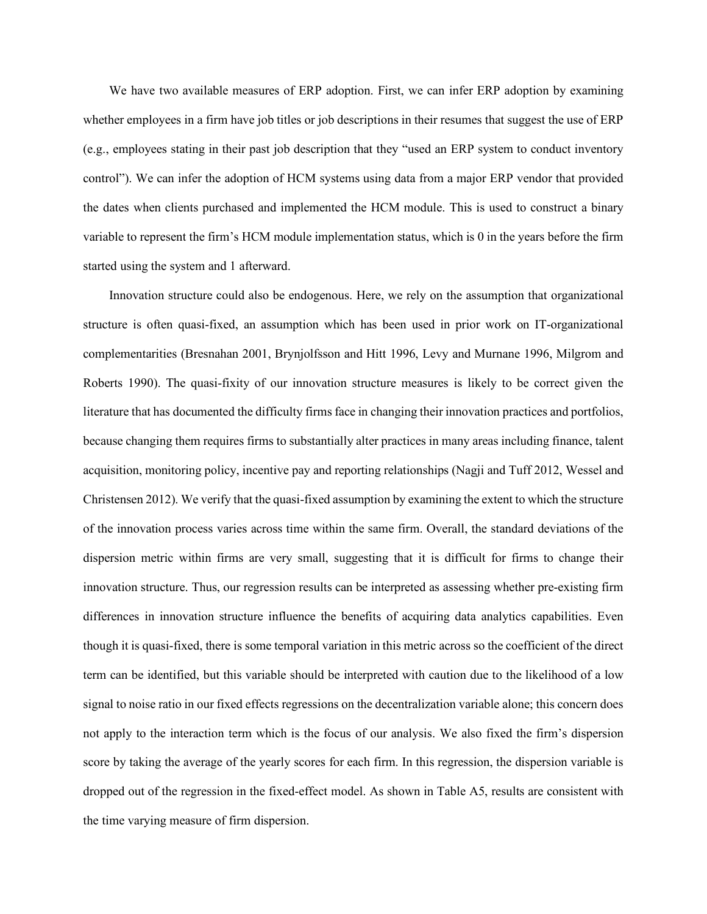We have two available measures of ERP adoption. First, we can infer ERP adoption by examining whether employees in a firm have job titles or job descriptions in their resumes that suggest the use of ERP (e.g., employees stating in their past job description that they "used an ERP system to conduct inventory control"). We can infer the adoption of HCM systems using data from a major ERP vendor that provided the dates when clients purchased and implemented the HCM module. This is used to construct a binary variable to represent the firm's HCM module implementation status, which is 0 in the years before the firm started using the system and 1 afterward.

Innovation structure could also be endogenous. Here, we rely on the assumption that organizational structure is often quasi-fixed, an assumption which has been used in prior work on IT-organizational complementarities (Bresnahan 2001, Brynjolfsson and Hitt 1996, Levy and Murnane 1996, Milgrom and Roberts 1990). The quasi-fixity of our innovation structure measures is likely to be correct given the literature that has documented the difficulty firms face in changing their innovation practices and portfolios, because changing them requires firms to substantially alter practices in many areas including finance, talent acquisition, monitoring policy, incentive pay and reporting relationships (Nagji and Tuff 2012, Wessel and Christensen 2012). We verify that the quasi-fixed assumption by examining the extent to which the structure of the innovation process varies across time within the same firm. Overall, the standard deviations of the dispersion metric within firms are very small, suggesting that it is difficult for firms to change their innovation structure. Thus, our regression results can be interpreted as assessing whether pre-existing firm differences in innovation structure influence the benefits of acquiring data analytics capabilities. Even though it is quasi-fixed, there is some temporal variation in this metric across so the coefficient of the direct term can be identified, but this variable should be interpreted with caution due to the likelihood of a low signal to noise ratio in our fixed effects regressions on the decentralization variable alone; this concern does not apply to the interaction term which is the focus of our analysis. We also fixed the firm's dispersion score by taking the average of the yearly scores for each firm. In this regression, the dispersion variable is dropped out of the regression in the fixed-effect model. As shown in Table A5, results are consistent with the time varying measure of firm dispersion.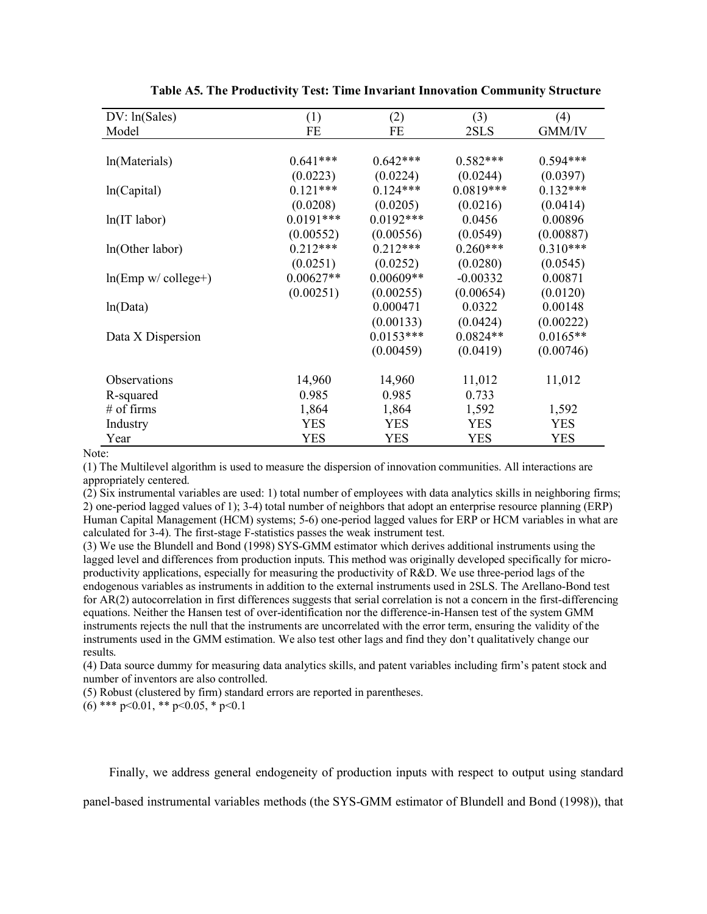| DV: ln(Sales)          | (1)         | (2)          | (3)         | (4)        |
|------------------------|-------------|--------------|-------------|------------|
| Model                  | FE          | FE           | 2SLS        | GMM/IV     |
|                        |             |              |             |            |
| ln(Materials)          | $0.641***$  | $0.642***$   | $0.582***$  | $0.594***$ |
|                        | (0.0223)    | (0.0224)     | (0.0244)    | (0.0397)   |
| ln(Capital)            | $0.121***$  | $0.124***$   | $0.0819***$ | $0.132***$ |
|                        | (0.0208)    | (0.0205)     | (0.0216)    | (0.0414)   |
| $ln(IT$ labor)         | $0.0191***$ | $0.0192$ *** | 0.0456      | 0.00896    |
|                        | (0.00552)   | (0.00556)    | (0.0549)    | (0.00887)  |
| ln(Other labor)        | $0.212***$  | $0.212***$   | $0.260***$  | $0.310***$ |
|                        | (0.0251)    | (0.0252)     | (0.0280)    | (0.0545)   |
| $ln(Emp w / college+)$ | $0.00627**$ | $0.00609**$  | $-0.00332$  | 0.00871    |
|                        | (0.00251)   | (0.00255)    | (0.00654)   | (0.0120)   |
| ln(Data)               |             | 0.000471     | 0.0322      | 0.00148    |
|                        |             | (0.00133)    | (0.0424)    | (0.00222)  |
| Data X Dispersion      |             | $0.0153***$  | $0.0824**$  | $0.0165**$ |
|                        |             | (0.00459)    | (0.0419)    | (0.00746)  |
|                        |             |              |             |            |
| Observations           | 14,960      | 14,960       | 11,012      | 11,012     |
| R-squared              | 0.985       | 0.985        | 0.733       |            |
| $#$ of firms           | 1,864       | 1,864        | 1,592       | 1,592      |
| Industry               | <b>YES</b>  | <b>YES</b>   | <b>YES</b>  | <b>YES</b> |
| Year                   | YES         | <b>YES</b>   | <b>YES</b>  | <b>YES</b> |

**Table A5. The Productivity Test: Time Invariant Innovation Community Structure**

Note:

(1) The Multilevel algorithm is used to measure the dispersion of innovation communities. All interactions are appropriately centered.

(2) Six instrumental variables are used: 1) total number of employees with data analytics skills in neighboring firms; 2) one-period lagged values of 1); 3-4) total number of neighbors that adopt an enterprise resource planning (ERP) Human Capital Management (HCM) systems; 5-6) one-period lagged values for ERP or HCM variables in what are calculated for 3-4). The first-stage F-statistics passes the weak instrument test.

(3) We use the Blundell and Bond (1998) SYS-GMM estimator which derives additional instruments using the lagged level and differences from production inputs. This method was originally developed specifically for microproductivity applications, especially for measuring the productivity of R&D. We use three-period lags of the endogenous variables as instruments in addition to the external instruments used in 2SLS. The Arellano-Bond test for AR(2) autocorrelation in first differences suggests that serial correlation is not a concern in the first-differencing equations. Neither the Hansen test of over-identification nor the difference-in-Hansen test of the system GMM instruments rejects the null that the instruments are uncorrelated with the error term, ensuring the validity of the instruments used in the GMM estimation. We also test other lags and find they don't qualitatively change our results.

(4) Data source dummy for measuring data analytics skills, and patent variables including firm's patent stock and number of inventors are also controlled.

(5) Robust (clustered by firm) standard errors are reported in parentheses.

(6) \*\*\*  $p<0.01$ , \*\*  $p<0.05$ , \*  $p<0.1$ 

Finally, we address general endogeneity of production inputs with respect to output using standard

panel-based instrumental variables methods (the SYS-GMM estimator of Blundell and Bond (1998)), that